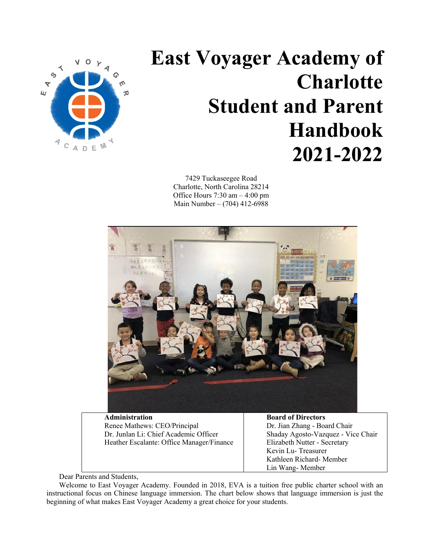

# **East Voyager Academy of Charlotte Student and Parent Handbook**  $C_A$   $D \in \mathbb{N}$   $\rightarrow$  2021-2022

Charlotte, North Carolina 28214 Office Hours 7:30 am – 4:00 pm Main Number – (704) 412-6988



**Administration** Renee Mathews: CEO/Principal Dr. Junlan Li: Chief Academic Officer Heather Escalante: Office Manager/Finance

**Board of Directors**  Dr. Jian Zhang - Board Chair Shaday Agosto-Vazquez - Vice Chair Elizabeth Nutter - Secretary Kevin Lu- Treasurer Kathleen Richard- Member Lin Wang- Member

Dear Parents and Students,

Welcome to East Voyager Academy. Founded in 2018, EVA is a tuition free public charter school with an instructional focus on Chinese language immersion. The chart below shows that language immersion is just the beginning of what makes East Voyager Academy a great choice for your students.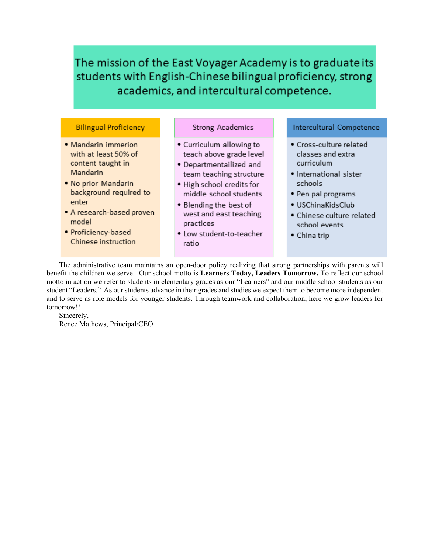The mission of the East Voyager Academy is to graduate its students with English-Chinese bilingual proficiency, strong academics, and intercultural competence.

#### **Bilingual Proficiency**

- Mandarin immerion with at least 50% of content taught in Mandarin
- No prior Mandarin background required to enter
- A research-based proven model
- Proficiency-based Chinese instruction

#### **Strong Academics**

- Curriculum allowing to teach above grade level
- Departmentailized and team teaching structure
- . High school credits for middle school students
- Blending the best of west and east teaching practices
- Low student-to-teacher ratio

#### Intercultural Competence

- Cross-culture related classes and extra curriculum
- · International sister schools
- · Pen pal programs
- · USChinaKidsClub
- · Chinese culture related school events
- China trip

The administrative team maintains an open-door policy realizing that strong partnerships with parents will benefit the children we serve. Our school motto is **Learners Today, Leaders Tomorrow.** To reflect our school motto in action we refer to students in elementary grades as our "Learners" and our middle school students as our student "Leaders." As our students advance in their grades and studies we expect them to become more independent and to serve as role models for younger students. Through teamwork and collaboration, here we grow leaders for tomorrow!!

Sincerely,

Renee Mathews, Principal/CEO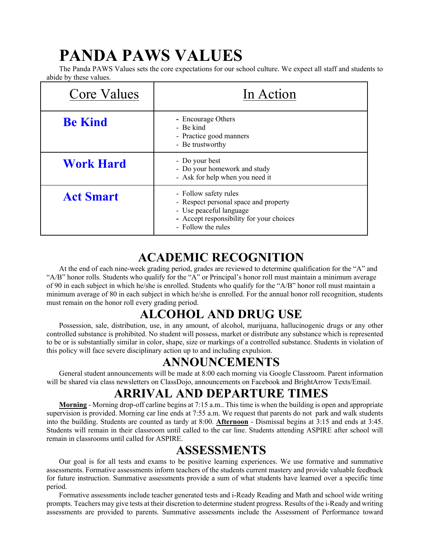# **PANDA PAWS VALUES**

The Panda PAWS Values sets the core expectations for our school culture. We expect all staff and students to abide by these values.

| <b>Core Values</b> | In Action                                                                                                                                                   |
|--------------------|-------------------------------------------------------------------------------------------------------------------------------------------------------------|
| <b>Be Kind</b>     | - Encourage Others<br>- Be kind<br>- Practice good manners<br>- Be trustworthy                                                                              |
| <b>Work Hard</b>   | - Do your best<br>- Do your homework and study<br>- Ask for help when you need it                                                                           |
| <b>Act Smart</b>   | - Follow safety rules<br>- Respect personal space and property<br>- Use peaceful language<br>- Accept responsibility for your choices<br>- Follow the rules |

# **ACADEMIC RECOGNITION**

At the end of each nine-week grading period, grades are reviewed to determine qualification for the "A" and "A/B" honor rolls. Students who qualify for the "A" or Principal's honor roll must maintain a minimum average of 90 in each subject in which he/she is enrolled. Students who qualify for the "A/B" honor roll must maintain a minimum average of 80 in each subject in which he/she is enrolled. For the annual honor roll recognition, students must remain on the honor roll every grading period.

# **ALCOHOL AND DRUG USE**

Possession, sale, distribution, use, in any amount, of alcohol, marijuana, hallucinogenic drugs or any other controlled substance is prohibited. No student will possess, market or distribute any substance which is represented to be or is substantially similar in color, shape, size or markings of a controlled substance. Students in violation of this policy will face severe disciplinary action up to and including expulsion.

## **ANNOUNCEMENTS**

General student announcements will be made at 8:00 each morning via Google Classroom. Parent information will be shared via class newsletters on ClassDojo, announcements on Facebook and BrightArrow Texts/Email.

# **ARRIVAL AND DEPARTURE TIMES**

**Morning** - Morning drop-off carline begins at 7:15 a.m.. This time is when the building is open and appropriate supervision is provided. Morning car line ends at 7:55 a.m. We request that parents do not park and walk students into the building. Students are counted as tardy at 8:00. **Afternoon** - Dismissal begins at 3:15 and ends at 3:45. Students will remain in their classroom until called to the car line. Students attending ASPIRE after school will remain in classrooms until called for ASPIRE.

### **ASSESSMENTS**

Our goal is for all tests and exams to be positive learning experiences. We use formative and summative assessments. Formative assessments inform teachers of the students current mastery and provide valuable feedback for future instruction. Summative assessments provide a sum of what students have learned over a specific time period.

Formative assessments include teacher generated tests and i-Ready Reading and Math and school wide writing prompts. Teachers may give tests at their discretion to determine student progress. Results of the i-Ready and writing assessments are provided to parents. Summative assessments include the Assessment of Performance toward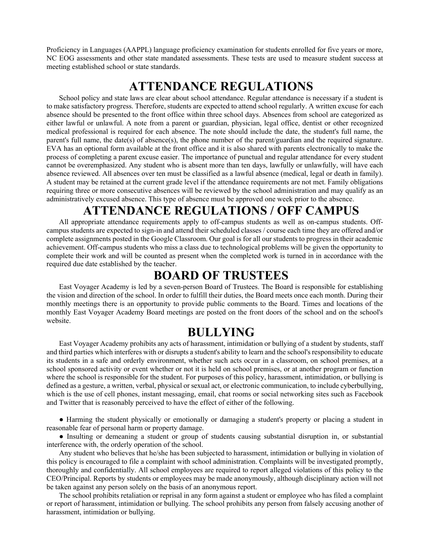Proficiency in Languages (AAPPL) language proficiency examination for students enrolled for five years or more, NC EOG assessments and other state mandated assessments. These tests are used to measure student success at meeting established school or state standards.

### **ATTENDANCE REGULATIONS**

School policy and state laws are clear about school attendance. Regular attendance is necessary if a student is to make satisfactory progress. Therefore, students are expected to attend school regularly. A written excuse for each absence should be presented to the front office within three school days. Absences from school are categorized as either lawful or unlawful. A note from a parent or guardian, physician, legal office, dentist or other recognized medical professional is required for each absence. The note should include the date, the student's full name, the parent's full name, the date(s) of absence(s), the phone number of the parent/guardian and the required signature. EVA has an optional form available at the front office and it is also shared with parents electronically to make the process of completing a parent excuse easier. The importance of punctual and regular attendance for every student cannot be overemphasized. Any student who is absent more than ten days, lawfully or unlawfully, will have each absence reviewed. All absences over ten must be classified as a lawful absence (medical, legal or death in family). A student may be retained at the current grade level if the attendance requirements are not met. Family obligations requiring three or more consecutive absences will be reviewed by the school administration and may qualify as an administratively excused absence. This type of absence must be approved one week prior to the absence.

# **ATTENDANCE REGULATIONS / OFF CAMPUS**

All appropriate attendance requirements apply to off-campus students as well as on-campus students. Offcampus students are expected to sign-in and attend their scheduled classes / course each time they are offered and/or complete assignments posted in the Google Classroom. Our goal is for all our students to progress in their academic achievement. Off-campus students who miss a class due to technological problems will be given the opportunity to complete their work and will be counted as present when the completed work is turned in in accordance with the required due date established by the teacher.

### **BOARD OF TRUSTEES**

East Voyager Academy is led by a seven-person Board of Trustees. The Board is responsible for establishing the vision and direction of the school. In order to fulfill their duties, the Board meets once each month. During their monthly meetings there is an opportunity to provide public comments to the Board. Times and locations of the monthly East Voyager Academy Board meetings are posted on the front doors of the school and on the school's website.

# **BULLYING**

East Voyager Academy prohibits any acts of harassment, intimidation or bullying of a student by students, staff and third parties which interferes with or disrupts a student's ability to learn and the school's responsibility to educate its students in a safe and orderly environment, whether such acts occur in a classroom, on school premises, at a school sponsored activity or event whether or not it is held on school premises, or at another program or function where the school is responsible for the student. For purposes of this policy, harassment, intimidation, or bullying is defined as a gesture, a written, verbal, physical or sexual act, or electronic communication, to include cyberbullying, which is the use of cell phones, instant messaging, email, chat rooms or social networking sites such as Facebook and Twitter that is reasonably perceived to have the effect of either of the following.

● Harming the student physically or emotionally or damaging a student's property or placing a student in reasonable fear of personal harm or property damage.

• Insulting or demeaning a student or group of students causing substantial disruption in, or substantial interference with, the orderly operation of the school.

Any student who believes that he/she has been subjected to harassment, intimidation or bullying in violation of this policy is encouraged to file a complaint with school administration. Complaints will be investigated promptly, thoroughly and confidentially. All school employees are required to report alleged violations of this policy to the CEO/Principal. Reports by students or employees may be made anonymously, although disciplinary action will not be taken against any person solely on the basis of an anonymous report.

The school prohibits retaliation or reprisal in any form against a student or employee who has filed a complaint or report of harassment, intimidation or bullying. The school prohibits any person from falsely accusing another of harassment, intimidation or bullying.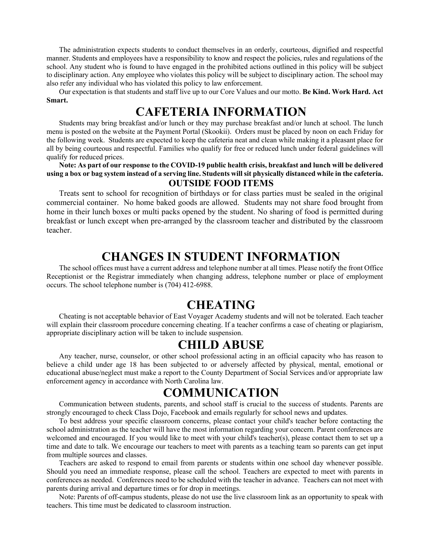The administration expects students to conduct themselves in an orderly, courteous, dignified and respectful manner. Students and employees have a responsibility to know and respect the policies, rules and regulations of the school. Any student who is found to have engaged in the prohibited actions outlined in this policy will be subject to disciplinary action. Any employee who violates this policy will be subject to disciplinary action. The school may also refer any individual who has violated this policy to law enforcement.

Our expectation is that students and staff live up to our Core Values and our motto. **Be Kind. Work Hard. Act Smart.**

# **CAFETERIA INFORMATION**

Students may bring breakfast and/or lunch or they may purchase breakfast and/or lunch at school. The lunch menu is posted on the website at the Payment Portal (Skookii). Orders must be placed by noon on each Friday for the following week. Students are expected to keep the cafeteria neat and clean while making it a pleasant place for all by being courteous and respectful. Families who qualify for free or reduced lunch under federal guidelines will qualify for reduced prices.

#### **Note: As part of our response to the COVID-19 public health crisis, breakfast and lunch will be delivered using a box or bag system instead of a serving line. Students will sit physically distanced while in the cafeteria. OUTSIDE FOOD ITEMS**

Treats sent to school for recognition of birthdays or for class parties must be sealed in the original commercial container. No home baked goods are allowed. Students may not share food brought from home in their lunch boxes or multi packs opened by the student. No sharing of food is permitted during breakfast or lunch except when pre-arranged by the classroom teacher and distributed by the classroom teacher.

# **CHANGES IN STUDENT INFORMATION**

The school offices must have a current address and telephone number at all times. Please notify the front Office Receptionist or the Registrar immediately when changing address, telephone number or place of employment occurs. The school telephone number is (704) 412-6988.

## **CHEATING**

Cheating is not acceptable behavior of East Voyager Academy students and will not be tolerated. Each teacher will explain their classroom procedure concerning cheating. If a teacher confirms a case of cheating or plagiarism, appropriate disciplinary action will be taken to include suspension.

### **CHILD ABUSE**

Any teacher, nurse, counselor, or other school professional acting in an official capacity who has reason to believe a child under age 18 has been subjected to or adversely affected by physical, mental, emotional or educational abuse/neglect must make a report to the County Department of Social Services and/or appropriate law enforcement agency in accordance with North Carolina law.

## **COMMUNICATION**

Communication between students, parents, and school staff is crucial to the success of students. Parents are strongly encouraged to check Class Dojo, Facebook and emails regularly for school news and updates.

To best address your specific classroom concerns, please contact your child's teacher before contacting the school administration as the teacher will have the most information regarding your concern. Parent conferences are welcomed and encouraged. If you would like to meet with your child's teacher(s), please contact them to set up a time and date to talk. We encourage our teachers to meet with parents as a teaching team so parents can get input from multiple sources and classes.

Teachers are asked to respond to email from parents or students within one school day whenever possible. Should you need an immediate response, please call the school. Teachers are expected to meet with parents in conferences as needed. Conferences need to be scheduled with the teacher in advance. Teachers can not meet with parents during arrival and departure times or for drop in meetings.

Note: Parents of off-campus students, please do not use the live classroom link as an opportunity to speak with teachers. This time must be dedicated to classroom instruction.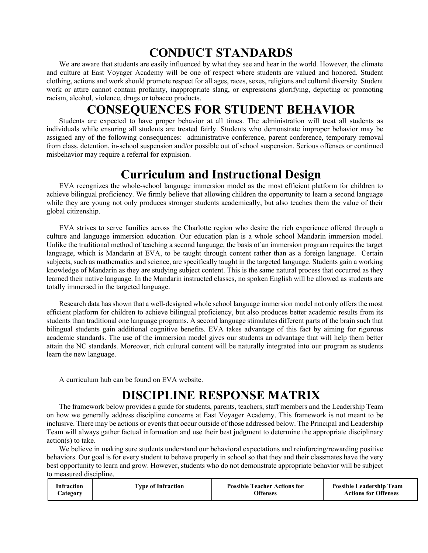# **CONDUCT STANDARDS**

We are aware that students are easily influenced by what they see and hear in the world. However, the climate and culture at East Voyager Academy will be one of respect where students are valued and honored. Student clothing, actions and work should promote respect for all ages, races, sexes, religions and cultural diversity. Student work or attire cannot contain profanity, inappropriate slang, or expressions glorifying, depicting or promoting racism, alcohol, violence, drugs or tobacco products.

# **CONSEQUENCES FOR STUDENT BEHAVIOR**

Students are expected to have proper behavior at all times. The administration will treat all students as individuals while ensuring all students are treated fairly. Students who demonstrate improper behavior may be assigned any of the following consequences: administrative conference, parent conference, temporary removal from class, detention, in-school suspension and/or possible out of school suspension. Serious offenses or continued misbehavior may require a referral for expulsion.

## **Curriculum and Instructional Design**

EVA recognizes the whole-school language immersion model as the most efficient platform for children to achieve bilingual proficiency. We firmly believe that allowing children the opportunity to learn a second language while they are young not only produces stronger students academically, but also teaches them the value of their global citizenship.

EVA strives to serve families across the Charlotte region who desire the rich experience offered through a culture and language immersion education. Our education plan is a whole school Mandarin immersion model. Unlike the traditional method of teaching a second language, the basis of an immersion program requires the target language, which is Mandarin at EVA, to be taught through content rather than as a foreign language. Certain subjects, such as mathematics and science, are specifically taught in the targeted language. Students gain a working knowledge of Mandarin as they are studying subject content. This is the same natural process that occurred as they learned their native language. In the Mandarin instructed classes, no spoken English will be allowed as students are totally immersed in the targeted language.

Research data has shown that a well-designed whole school language immersion model not only offers the most efficient platform for children to achieve bilingual proficiency, but also produces better academic results from its students than traditional one language programs. A second language stimulates different parts of the brain such that bilingual students gain additional cognitive benefits. EVA takes advantage of this fact by aiming for rigorous academic standards. The use of the immersion model gives our students an advantage that will help them better attain the NC standards. Moreover, rich cultural content will be naturally integrated into our program as students learn the new language.

A curriculum hub can be found on EVA website.

# **DISCIPLINE RESPONSE MATRIX**

The framework below provides a guide for students, parents, teachers, staff members and the Leadership Team on how we generally address discipline concerns at East Voyager Academy. This framework is not meant to be inclusive. There may be actions or events that occur outside of those addressed below. The Principal and Leadership Team will always gather factual information and use their best judgment to determine the appropriate disciplinary action(s) to take.

We believe in making sure students understand our behavioral expectations and reinforcing/rewarding positive behaviors. Our goal is for every student to behave properly in school so that they and their classmates have the very best opportunity to learn and grow. However, students who do not demonstrate appropriate behavior will be subject to measured discipline.

| Infraction       | <b>Type of Infraction</b> | <b>Possible Teacher Actions for</b> | <b>Possible Leadership Team</b> |
|------------------|---------------------------|-------------------------------------|---------------------------------|
| <i>C</i> ategory |                           | Offenses                            | <b>Actions for Offenses</b>     |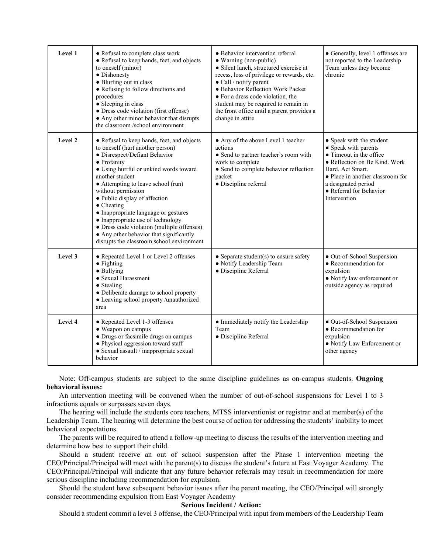| Level 1 | • Refusal to complete class work<br>• Refusal to keep hands, feet, and objects<br>to oneself (minor)<br>• Dishonesty<br>• Blurting out in class<br>• Refusing to follow directions and<br>procedures<br>• Sleeping in class<br>• Dress code violation (first offense)<br>• Any other minor behavior that disrupts<br>the classroom/school environment                                                                                                                                                                             | • Behavior intervention referral<br>• Warning (non-public)<br>· Silent lunch, structured exercise at<br>recess, loss of privilege or rewards, etc.<br>• Call / notify parent<br>• Behavior Reflection Work Packet<br>• For a dress code violation, the<br>student may be required to remain in<br>the front office until a parent provides a<br>change in attire | • Generally, level 1 offenses are<br>not reported to the Leadership<br>Team unless they become<br>chronic                                                                                                                              |
|---------|-----------------------------------------------------------------------------------------------------------------------------------------------------------------------------------------------------------------------------------------------------------------------------------------------------------------------------------------------------------------------------------------------------------------------------------------------------------------------------------------------------------------------------------|------------------------------------------------------------------------------------------------------------------------------------------------------------------------------------------------------------------------------------------------------------------------------------------------------------------------------------------------------------------|----------------------------------------------------------------------------------------------------------------------------------------------------------------------------------------------------------------------------------------|
| Level 2 | • Refusal to keep hands, feet, and objects<br>to oneself (hurt another person)<br>· Disrespect/Defiant Behavior<br>• Profanity<br>· Using hurtful or unkind words toward<br>another student<br>• Attempting to leave school (run)<br>without permission<br>· Public display of affection<br>$\bullet$ Cheating<br>• Inappropriate language or gestures<br>• Inappropriate use of technology<br>• Dress code violation (multiple offenses)<br>• Any other behavior that significantly<br>disrupts the classroom school environment | • Any of the above Level 1 teacher<br>actions<br>• Send to partner teacher's room with<br>work to complete<br>• Send to complete behavior reflection<br>packet<br>· Discipline referral                                                                                                                                                                          | • Speak with the student<br>• Speak with parents<br>• Timeout in the office<br>• Reflection on Be Kind. Work<br>Hard. Act Smart.<br>• Place in another classroom for<br>a designated period<br>• Referral for Behavior<br>Intervention |
| Level 3 | • Repeated Level 1 or Level 2 offenses<br>$\bullet$ Fighting<br>$\bullet$ Bullying<br>• Sexual Harassment<br>• Stealing<br>· Deliberate damage to school property<br>• Leaving school property /unauthorized<br>area                                                                                                                                                                                                                                                                                                              | $\bullet$ Separate student(s) to ensure safety<br>· Notify Leadership Team<br>· Discipline Referral                                                                                                                                                                                                                                                              | · Out-of-School Suspension<br>• Recommendation for<br>expulsion<br>• Notify law enforcement or<br>outside agency as required                                                                                                           |
| Level 4 | • Repeated Level 1-3 offenses<br>· Weapon on campus<br>• Drugs or facsimile drugs on campus<br>· Physical aggression toward staff<br>· Sexual assault / inappropriate sexual<br>behavior                                                                                                                                                                                                                                                                                                                                          | • Immediately notify the Leadership<br>Team<br>· Discipline Referral                                                                                                                                                                                                                                                                                             | • Out-of-School Suspension<br>• Recommendation for<br>expulsion<br>· Notify Law Enforcement or<br>other agency                                                                                                                         |

Note: Off-campus students are subject to the same discipline guidelines as on-campus students. **Ongoing behavioral issues:** 

An intervention meeting will be convened when the number of out-of-school suspensions for Level 1 to 3 infractions equals or surpasses seven days.

The hearing will include the students core teachers, MTSS interventionist or registrar and at member(s) of the Leadership Team. The hearing will determine the best course of action for addressing the students' inability to meet behavioral expectations.

The parents will be required to attend a follow-up meeting to discuss the results of the intervention meeting and determine how best to support their child.

Should a student receive an out of school suspension after the Phase 1 intervention meeting the CEO/Principal/Principal will meet with the parent(s) to discuss the student's future at East Voyager Academy. The CEO/Principal/Principal will indicate that any future behavior referrals may result in recommendation for more serious discipline including recommendation for expulsion.

Should the student have subsequent behavior issues after the parent meeting, the CEO/Principal will strongly consider recommending expulsion from East Voyager Academy

#### **Serious Incident / Action:**

Should a student commit a level 3 offense, the CEO/Principal with input from members of the Leadership Team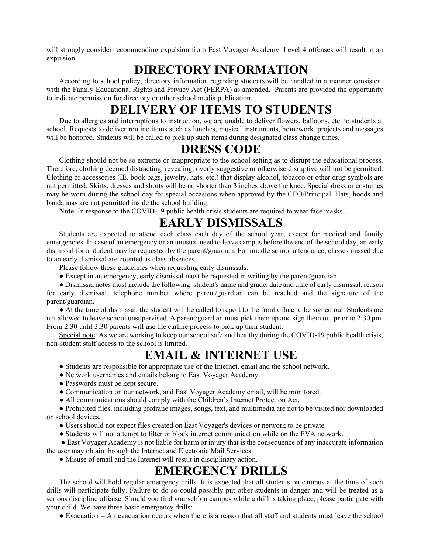will strongly consider recommending expulsion from East Voyager Academy. Level 4 offenses will result in an expulsion.

# **DIRECTORY INFORMATION**

According to school policy, directory information regarding students will be handled in a manner consistent with the Family Educational Rights and Privacy Act (FERPA) as amended. Parents are provided the opportunity to indicate permission for directory or other school media publication.

# **DELIVERY OF ITEMS TO STUDENTS**

Due to allergies and interruptions to instruction, we are unable to deliver flowers, balloons, etc. to students at school. Requests to deliver routine items such as lunches, musical instruments, homework, projects and messages will be honored. Students will be called to pick up such items during designated class change times.

### **DRESS CODE**

Clothing should not be so extreme or inappropriate to the school setting as to disrupt the educational process. Therefore, clothing deemed distracting, revealing, overly suggestive or otherwise disruptive will not be permitted. Clothing or accessories (IE. book bags, jewelry, hats, etc.) that display alcohol, tobacco or other drug symbols are not permitted. Skirts, dresses and shorts will be no shorter than 3 inches above the knee. Special dress or costumes may be worn during the school day for special occasions when approved by the CEO/Principal. Hats, hoods and bandannas are not permitted inside the school building.

**Note**: In response to the COVID-19 public health crisis students are required to wear face masks..

# **EARLY DISMISSALS**

Students are expected to attend each class each day of the school year, except for medical and family emergencies. In case of an emergency or an unusual need to leave campus before the end of the school day, an early dismissal for a student may be requested by the parent/guardian. For middle school attendance, classes missed due to an early dismissal are counted as class absences.

Please follow these guidelines when requesting early dismissals:

● Except in an emergency, early dismissal must be requested in writing by the parent/guardian.

● Dismissal notes must include the following: student's name and grade, date and time of early dismissal, reason for early dismissal, telephone number where parent/guardian can be reached and the signature of the parent/guardian.

● At the time of dismissal, the student will be called to report to the front office to be signed out. Students are not allowed to leave school unsupervised. A parent/guardian must pick them up and sign them out prior to 2:30 pm. From 2:30 until 3:30 parents will use the carline process to pick up their student.

Special note: As we are working to keep our school safe and healthy during the COVID-19 public health crisis, non-student staff access to the school is limited.

# **EMAIL & INTERNET USE**

- Students are responsible for appropriate use of the Internet, email and the school network.
- Network usernames and emails belong to East Voyager Academy.
- Passwords must be kept secure.
- Communication on our network, and East Voyager Academy email, will be monitored.
- All communications should comply with the Children's Internet Protection Act.

● Prohibited files, including profrane images, songs, text, and multimedia are not to be visited nor downloaded on school devices.

- Users should not expect files created on East Voyager's devices or network to be private.
- Students will not attempt to filter or block internet communication while on the EVA network.

● East Voyager Academy is not liable for harm or injury that is the consequence of any inaccurate information the user may obtain through the Internet and Electronic Mail Services.

● Misuse of email and the Internet will result in disciplinary action.

# **EMERGENCY DRILLS**

The school will hold regular emergency drills. It is expected that all students on campus at the time of such drills will participate fully. Failure to do so could possibly put other students in danger and will be treated as a serious discipline offense. Should you find yourself on campus while a drill is taking place, please participate with your child. We have three basic emergency drills:

● Evacuation – An evacuation occurs when there is a reason that all staff and students must leave the school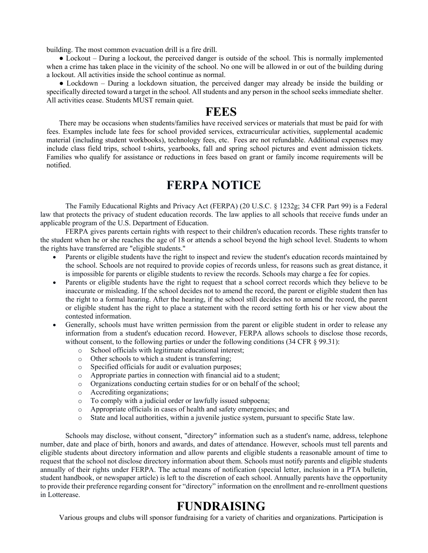building. The most common evacuation drill is a fire drill.

● Lockout – During a lockout, the perceived danger is outside of the school. This is normally implemented when a crime has taken place in the vicinity of the school. No one will be allowed in or out of the building during a lockout. All activities inside the school continue as normal.

• Lockdown – During a lockdown situation, the perceived danger may already be inside the building or specifically directed toward a target in the school. All students and any person in the school seeks immediate shelter. All activities cease. Students MUST remain quiet.

### **FEES**

There may be occasions when students/families have received services or materials that must be paid for with fees. Examples include late fees for school provided services, extracurricular activities, supplemental academic material (including student workbooks), technology fees, etc. Fees are not refundable. Additional expenses may include class field trips, school t-shirts, yearbooks, fall and spring school pictures and event admission tickets. Families who qualify for assistance or reductions in fees based on grant or family income requirements will be notified.

### **FERPA NOTICE**

The Family Educational Rights and Privacy Act (FERPA) (20 U.S.C. § 1232g; 34 CFR Part 99) is a Federal law that protects the privacy of student education records. The law applies to all schools that receive funds under an applicable program of the U.S. Department of Education.

FERPA gives parents certain rights with respect to their children's education records. These rights transfer to the student when he or she reaches the age of 18 or attends a school beyond the high school level. Students to whom the rights have transferred are "eligible students."

- Parents or eligible students have the right to inspect and review the student's education records maintained by the school. Schools are not required to provide copies of records unless, for reasons such as great distance, it is impossible for parents or eligible students to review the records. Schools may charge a fee for copies.
- Parents or eligible students have the right to request that a school correct records which they believe to be inaccurate or misleading. If the school decides not to amend the record, the parent or eligible student then has the right to a formal hearing. After the hearing, if the school still decides not to amend the record, the parent or eligible student has the right to place a statement with the record setting forth his or her view about the contested information.
- Generally, schools must have written permission from the parent or eligible student in order to release any information from a student's education record. However, FERPA allows schools to disclose those records, without consent, to the following parties or under the following conditions (34 CFR § 99.31):
	- o School officials with legitimate educational interest;
	- o Other schools to which a student is transferring;
	- o Specified officials for audit or evaluation purposes;
	- o Appropriate parties in connection with financial aid to a student;
	- o Organizations conducting certain studies for or on behalf of the school;
	- o Accrediting organizations;
	- o To comply with a judicial order or lawfully issued subpoena;
	- o Appropriate officials in cases of health and safety emergencies; and
	- o State and local authorities, within a juvenile justice system, pursuant to specific State law.

Schools may disclose, without consent, "directory" information such as a student's name, address, telephone number, date and place of birth, honors and awards, and dates of attendance. However, schools must tell parents and eligible students about directory information and allow parents and eligible students a reasonable amount of time to request that the school not disclose directory information about them. Schools must notify parents and eligible students annually of their rights under FERPA. The actual means of notification (special letter, inclusion in a PTA bulletin, student handbook, or newspaper article) is left to the discretion of each school. Annually parents have the opportunity to provide their preference regarding consent for "directory" information on the enrollment and re-enrollment questions in Lotterease.

### **FUNDRAISING**

Various groups and clubs will sponsor fundraising for a variety of charities and organizations. Participation is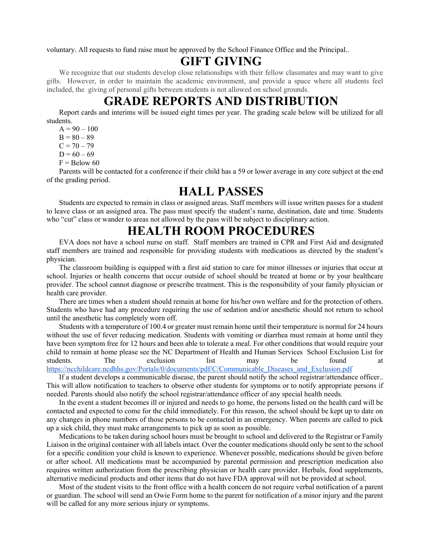voluntary. All requests to fund raise must be approved by the School Finance Office and the Principal..

### **GIFT GIVING**

We recognize that our students develop close relationships with their fellow classmates and may want to give gifts. However, in order to maintain the academic environment, and provide a space where all students feel included, the giving of personal gifts between students is not allowed on school grounds.

# **GRADE REPORTS AND DISTRIBUTION**

Report cards and interims will be issued eight times per year. The grading scale below will be utilized for all students.

 $A = 90 - 100$ 

 $B = 80 - 89$ 

 $C = 70 - 79$ 

 $D = 60 - 69$ 

 $F =$ Below 60

Parents will be contacted for a conference if their child has a 59 or lower average in any core subject at the end of the grading period.

### **HALL PASSES**

Students are expected to remain in class or assigned areas. Staff members will issue written passes for a student to leave class or an assigned area. The pass must specify the student's name, destination, date and time. Students who "cut" class or wander to areas not allowed by the pass will be subject to disciplinary action.

### **HEALTH ROOM PROCEDURES**

EVA does not have a school nurse on staff. Staff members are trained in CPR and First Aid and designated staff members are trained and responsible for providing students with medications as directed by the student's physician.

The classroom building is equipped with a first aid station to care for minor illnesses or injuries that occur at school. Injuries or health concerns that occur outside of school should be treated at home or by your healthcare provider. The school cannot diagnose or prescribe treatment. This is the responsibility of your family physician or health care provider.

There are times when a student should remain at home for his/her own welfare and for the protection of others. Students who have had any procedure requiring the use of sedation and/or anesthetic should not return to school until the anesthetic has completely worn off.

Students with a temperature of 100.4 or greater must remain home until their temperature is normal for 24 hours without the use of fever reducing medication. Students with vomiting or diarrhea must remain at home until they have been symptom free for 12 hours and been able to tolerate a meal. For other conditions that would require your child to remain at home please see the NC Department of Health and Human Services School Exclusion List for students. The exclusion list may be found at [https://ncchildcare.ncdhhs.gov/Portals/0/documents/pdf/C/Communicable\\_Diseases\\_and\\_Exclusion.pdf](https://ncchildcare.ncdhhs.gov/Portals/0/documents/pdf/C/Communicable_Diseases_and_Exclusion.pdf?ver=2U5iu6C2l1d209fHKIHp0A%3D%3D)

If a student develops a communicable disease, the parent should notify the school registrar/attendance officer.. This will allow notification to teachers to observe other students for symptoms or to notify appropriate persons if needed. Parents should also notify the school registrar/attendance officer of any special health needs.

In the event a student becomes ill or injured and needs to go home, the persons listed on the health card will be contacted and expected to come for the child immediately. For this reason, the school should be kept up to date on any changes in phone numbers of those persons to be contacted in an emergency. When parents are called to pick up a sick child, they must make arrangements to pick up as soon as possible.

Medications to be taken during school hours must be brought to school and delivered to the Registrar or Family Liaison in the original container with all labels intact. Over the counter medications should only be sent to the school for a specific condition your child is known to experience. Whenever possible, medications should be given before or after school. All medications must be accompanied by parental permission and prescription medication also requires written authorization from the prescribing physician or health care provider. Herbals, food supplements, alternative medicinal products and other items that do not have FDA approval will not be provided at school.

Most of the student visits to the front office with a health concern do not require verbal notification of a parent or guardian. The school will send an Owie Form home to the parent for notification of a minor injury and the parent will be called for any more serious injury or symptoms.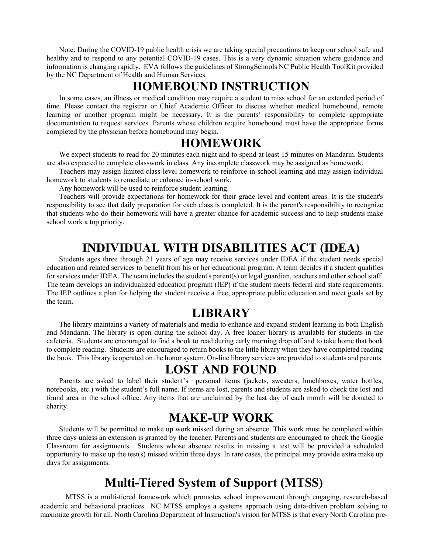Note: During the COVID-19 public health crisis we are taking special precautions to keep our school safe and healthy and to respond to any potential COVID-19 cases. This is a very dynamic situation where guidance and information is changing rapidly. EVA follows the guidelines of StrongSchools NC Public Health ToolKit provided by the NC Department of Health and Human Services.

# **HOMEBOUND INSTRUCTION**

In some cases, an illness or medical condition may require a student to miss school for an extended period of time. Please contact the registrar or Chief Academic Officer to discuss whether medical homebound, remote learning or another program might be necessary. It is the parents' responsibility to complete appropriate documentation to request services. Parents whose children require homebound must have the appropriate forms completed by the physician before homebound may begin.

### **HOMEWORK**

We expect students to read for 20 minutes each night and to spend at least 15 minutes on Mandarin. Students are also expected to complete classwork in class. Any incomplete classwork may be assigned as homework.

Teachers may assign limited class-level homework to reinforce in-school learning and may assign individual homework to students to remediate or enhance in-school work.

Any homework will be used to reinforce student learning.

Teachers will provide expectations for homework for their grade level and content areas. It is the student's responsibility to see that daily preparation for each class is completed. It is the parent's responsibility to recognize that students who do their homework will have a greater chance for academic success and to help students make school work a top priority.

# **INDIVIDUAL WITH DISABILITIES ACT (IDEA)**

Students ages three through 21 years of age may receive services under IDEA if the student needs special education and related services to benefit from his or her educational program. A team decides if a student qualifies for services under IDEA. The team includes the student's parent(s) or legal guardian, teachers and other school staff. The team develops an individualized education program (IEP) if the student meets federal and state requirements. The IEP outlines a plan for helping the student receive a free, appropriate public education and meet goals set by the team.

# **LIBRARY**

The library maintains a variety of materials and media to enhance and expand student learning in both English and Mandarin. The library is open during the school day. A free loaner library is available for students in the cafeteria. Students are encouraged to find a book to read during early morning drop off and to take home that book to complete reading. Students are encouraged to return books to the little library when they have completed reading the book. This library is operated on the honor system. On-line library services are provided to students and parents.

### **LOST AND FOUND**

Parents are asked to label their student's personal items (jackets, sweaters, lunchboxes, water bottles, notebooks, etc.) with the student's full name. If items are lost, parents and students are asked to check the lost and found area in the school office. Any items that are unclaimed by the last day of each month will be donated to charity.

## **MAKE-UP WORK**

Students will be permitted to make up work missed during an absence. This work must be completed within three days unless an extension is granted by the teacher. Parents and students are encouraged to check the Google Classroom for assignments. Students whose absence results in missing a test will be provided a scheduled opportunity to make up the test(s) missed within three days. In rare cases, the principal may provide extra make up days for assignments.

# **Multi-Tiered System of Support (MTSS)**

MTSS is a multi-tiered framework which promotes school improvement through engaging, research-based academic and behavioral practices. NC MTSS employs a systems approach using data-driven problem solving to maximize growth for all. North Carolina Department of Instruction's vision for MTSS is that every North Carolina pre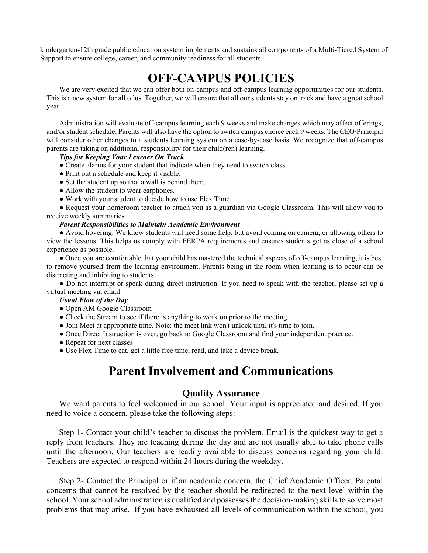kindergarten-12th grade public education system implements and sustains all components of a Multi-Tiered System of Support to ensure college, career, and community readiness for all students.

# **OFF-CAMPUS POLICIES**

We are very excited that we can offer both on-campus and off-campus learning opportunities for our students. This is a new system for all of us. Together, we will ensure that all our students stay on track and have a great school year.

Administration will evaluate off-campus learning each 9 weeks and make changes which may affect offerings, and/or student schedule. Parents will also have the option to switch campus choice each 9 weeks. The CEO/Principal will consider other changes to a students learning system on a case-by-case basis. We recognize that off-campus parents are taking on additional responsibility for their child(ren) learning.

#### *Tips for Keeping Your Learner On Track*

- Create alarms for your student that indicate when they need to switch class.
- Print out a schedule and keep it visible.
- Set the student up so that a wall is behind them.
- Allow the student to wear earphones.
- Work with your student to decide how to use Flex Time.

● Request your homeroom teacher to attach you as a guardian via Google Classroom. This will allow you to receive weekly summaries.

#### *Parent Responsibilities to Maintain Academic Environment*

● Avoid hovering. We know students will need some help, but avoid coming on camera, or allowing others to view the lessons. This helps us comply with FERPA requirements and ensures students get as close of a school experience as possible.

● Once you are comfortable that your child has mastered the technical aspects of off-campus learning, it is best to remove yourself from the learning environment. Parents being in the room when learning is to occur can be distracting and inhibiting to students.

● Do not interrupt or speak during direct instruction. If you need to speak with the teacher, please set up a virtual meeting via email.

#### *Usual Flow of the Day*

- Open AM Google Classroom
- Check the Stream to see if there is anything to work on prior to the meeting.
- Join Meet at appropriate time. Note: the meet link won't unlock until it's time to join.
- Once Direct Instruction is over, go back to Google Classroom and find your independent practice.
- Repeat for next classes
- Use Flex Time to eat, get a little free time, read, and take a device break**.**

### **Parent Involvement and Communications**

#### **Quality Assurance**

We want parents to feel welcomed in our school. Your input is appreciated and desired. If you need to voice a concern, please take the following steps:

Step 1- Contact your child's teacher to discuss the problem. Email is the quickest way to get a reply from teachers. They are teaching during the day and are not usually able to take phone calls until the afternoon. Our teachers are readily available to discuss concerns regarding your child. Teachers are expected to respond within 24 hours during the weekday.

Step 2- Contact the Principal or if an academic concern, the Chief Academic Officer. Parental concerns that cannot be resolved by the teacher should be redirected to the next level within the school. Your school administration is qualified and possesses the decision-making skills to solve most problems that may arise. If you have exhausted all levels of communication within the school, you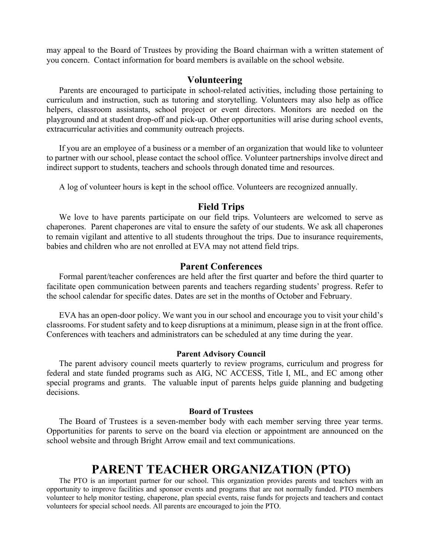may appeal to the Board of Trustees by providing the Board chairman with a written statement of you concern. Contact information for board members is available on the school website.

#### **Volunteering**

Parents are encouraged to participate in school-related activities, including those pertaining to curriculum and instruction, such as tutoring and storytelling. Volunteers may also help as office helpers, classroom assistants, school project or event directors. Monitors are needed on the playground and at student drop-off and pick-up. Other opportunities will arise during school events, extracurricular activities and community outreach projects.

 If you are an employee of a business or a member of an organization that would like to volunteer to partner with our school, please contact the school office. Volunteer partnerships involve direct and indirect support to students, teachers and schools through donated time and resources.

A log of volunteer hours is kept in the school office. Volunteers are recognized annually.

#### **Field Trips**

We love to have parents participate on our field trips. Volunteers are welcomed to serve as chaperones. Parent chaperones are vital to ensure the safety of our students. We ask all chaperones to remain vigilant and attentive to all students throughout the trips. Due to insurance requirements, babies and children who are not enrolled at EVA may not attend field trips.

#### **Parent Conferences**

Formal parent/teacher conferences are held after the first quarter and before the third quarter to facilitate open communication between parents and teachers regarding students' progress. Refer to the school calendar for specific dates. Dates are set in the months of October and February.

EVA has an open-door policy. We want you in our school and encourage you to visit your child's classrooms. For student safety and to keep disruptions at a minimum, please sign in at the front office. Conferences with teachers and administrators can be scheduled at any time during the year.

#### **Parent Advisory Council**

The parent advisory council meets quarterly to review programs, curriculum and progress for federal and state funded programs such as AIG, NC ACCESS, Title I, ML, and EC among other special programs and grants. The valuable input of parents helps guide planning and budgeting decisions.

#### **Board of Trustees**

The Board of Trustees is a seven-member body with each member serving three year terms. Opportunities for parents to serve on the board via election or appointment are announced on the school website and through Bright Arrow email and text communications.

## **PARENT TEACHER ORGANIZATION (PTO)**

The PTO is an important partner for our school. This organization provides parents and teachers with an opportunity to improve facilities and sponsor events and programs that are not normally funded. PTO members volunteer to help monitor testing, chaperone, plan special events, raise funds for projects and teachers and contact volunteers for special school needs. All parents are encouraged to join the PTO.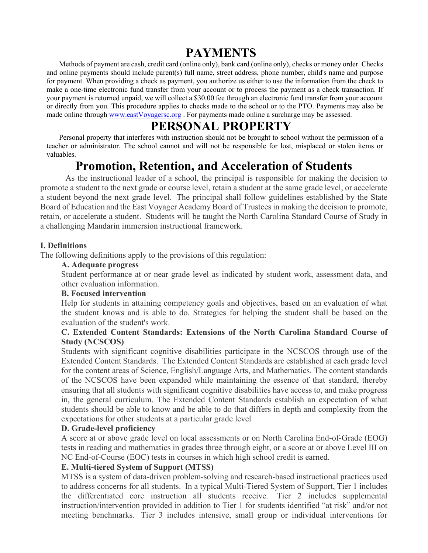# **PAYMENTS**

Methods of payment are cash, credit card (online only), bank card (online only), checks or money order. Checks and online payments should include parent(s) full name, street address, phone number, child's name and purpose for payment. When providing a check as payment, you authorize us either to use the information from the check to make a one-time electronic fund transfer from your account or to process the payment as a check transaction. If your payment is returned unpaid, we will collect a \$30.00 fee through an electronic fund transfer from your account or directly from you. This procedure applies to checks made to the school or to the PTO. Payments may also be made online through www.eastVoyagersc.org. For payments made online a surcharge may be assessed.

# **PERSONAL PROPERTY**

Personal property that interferes with instruction should not be brought to school without the permission of a teacher or administrator. The school cannot and will not be responsible for lost, misplaced or stolen items or valuables.

# **Promotion, Retention, and Acceleration of Students**

As the instructional leader of a school, the principal is responsible for making the decision to promote a student to the next grade or course level, retain a student at the same grade level, or accelerate a student beyond the next grade level. The principal shall follow guidelines established by the State Board of Education and the East Voyager Academy Board of Trustees in making the decision to promote, retain, or accelerate a student. Students will be taught the North Carolina Standard Course of Study in a challenging Mandarin immersion instructional framework.

#### **I. Definitions**

The following definitions apply to the provisions of this regulation:

#### **A. Adequate progress**

Student performance at or near grade level as indicated by student work, assessment data, and other evaluation information.

#### **B. Focused intervention**

Help for students in attaining competency goals and objectives, based on an evaluation of what the student knows and is able to do. Strategies for helping the student shall be based on the evaluation of the student's work.

#### **C. Extended Content Standards: Extensions of the North Carolina Standard Course of Study (NCSCOS)**

Students with significant cognitive disabilities participate in the NCSCOS through use of the Extended Content Standards. The Extended Content Standards are established at each grade level for the content areas of Science, English/Language Arts, and Mathematics. The content standards of the NCSCOS have been expanded while maintaining the essence of that standard, thereby ensuring that all students with significant cognitive disabilities have access to, and make progress in, the general curriculum. The Extended Content Standards establish an expectation of what students should be able to know and be able to do that differs in depth and complexity from the expectations for other students at a particular grade level

#### **D. Grade-level proficiency**

A score at or above grade level on local assessments or on North Carolina End-of-Grade (EOG) tests in reading and mathematics in grades three through eight, or a score at or above Level III on NC End-of-Course (EOC) tests in courses in which high school credit is earned.

#### **E. Multi-tiered System of Support (MTSS)**

MTSS is a system of data-driven problem-solving and research-based instructional practices used to address concerns for all students. In a typical Multi-Tiered System of Support, Tier 1 includes the differentiated core instruction all students receive. Tier 2 includes supplemental instruction/intervention provided in addition to Tier 1 for students identified "at risk" and/or not meeting benchmarks. Tier 3 includes intensive, small group or individual interventions for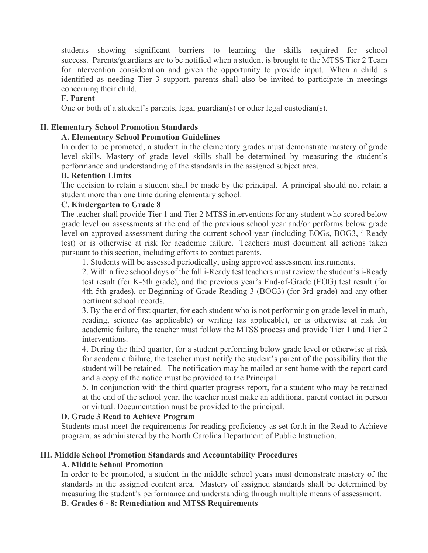students showing significant barriers to learning the skills required for school success. Parents/guardians are to be notified when a student is brought to the MTSS Tier 2 Team for intervention consideration and given the opportunity to provide input. When a child is identified as needing Tier 3 support, parents shall also be invited to participate in meetings concerning their child.

#### **F. Parent**

One or both of a student's parents, legal guardian(s) or other legal custodian(s).

#### **II. Elementary School Promotion Standards**

#### **A. Elementary School Promotion Guidelines**

In order to be promoted, a student in the elementary grades must demonstrate mastery of grade level skills. Mastery of grade level skills shall be determined by measuring the student's performance and understanding of the standards in the assigned subject area.

#### **B. Retention Limits**

The decision to retain a student shall be made by the principal. A principal should not retain a student more than one time during elementary school.

#### **C. Kindergarten to Grade 8**

The teacher shall provide Tier 1 and Tier 2 MTSS interventions for any student who scored below grade level on assessments at the end of the previous school year and/or performs below grade level on approved assessment during the current school year (including EOGs, BOG3, i-Ready test) or is otherwise at risk for academic failure. Teachers must document all actions taken pursuant to this section, including efforts to contact parents.

1. Students will be assessed periodically, using approved assessment instruments.

2. Within five school days of the fall i-Ready test teachers must review the student's i-Ready test result (for K-5th grade), and the previous year's End-of-Grade (EOG) test result (for 4th-5th grades), or Beginning-of-Grade Reading 3 (BOG3) (for 3rd grade) and any other pertinent school records.

3. By the end of first quarter, for each student who is not performing on grade level in math, reading, science (as applicable) or writing (as applicable), or is otherwise at risk for academic failure, the teacher must follow the MTSS process and provide Tier 1 and Tier 2 interventions.

4. During the third quarter, for a student performing below grade level or otherwise at risk for academic failure, the teacher must notify the student's parent of the possibility that the student will be retained. The notification may be mailed or sent home with the report card and a copy of the notice must be provided to the Principal.

5. In conjunction with the third quarter progress report, for a student who may be retained at the end of the school year, the teacher must make an additional parent contact in person or virtual. Documentation must be provided to the principal.

#### **D. Grade 3 Read to Achieve Program**

Students must meet the requirements for reading proficiency as set forth in the Read to Achieve program, as administered by the North Carolina Department of Public Instruction.

#### **III. Middle School Promotion Standards and Accountability Procedures A. Middle School Promotion**

In order to be promoted, a student in the middle school years must demonstrate mastery of the standards in the assigned content area. Mastery of assigned standards shall be determined by measuring the student's performance and understanding through multiple means of assessment.

**B. Grades 6 - 8: Remediation and MTSS Requirements**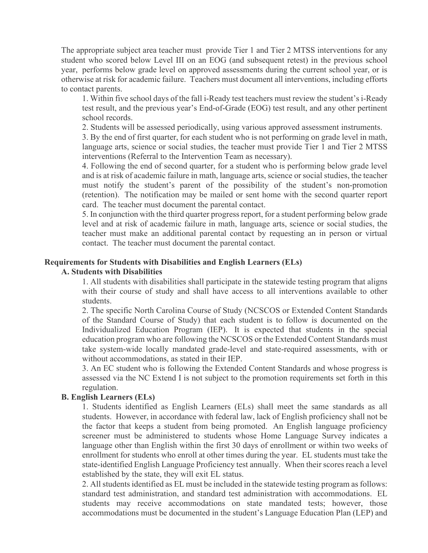The appropriate subject area teacher must provide Tier 1 and Tier 2 MTSS interventions for any student who scored below Level III on an EOG (and subsequent retest) in the previous school year, performs below grade level on approved assessments during the current school year, or is otherwise at risk for academic failure. Teachers must document all interventions, including efforts to contact parents.

1. Within five school days of the fall i-Ready test teachers must review the student's i-Ready test result, and the previous year's End-of-Grade (EOG) test result, and any other pertinent school records.

2. Students will be assessed periodically, using various approved assessment instruments.

3. By the end of first quarter, for each student who is not performing on grade level in math, language arts, science or social studies, the teacher must provide Tier 1 and Tier 2 MTSS interventions (Referral to the Intervention Team as necessary).

4. Following the end of second quarter, for a student who is performing below grade level and is at risk of academic failure in math, language arts, science or social studies, the teacher must notify the student's parent of the possibility of the student's non-promotion (retention). The notification may be mailed or sent home with the second quarter report card. The teacher must document the parental contact.

5. In conjunction with the third quarter progress report, for a student performing below grade level and at risk of academic failure in math, language arts, science or social studies, the teacher must make an additional parental contact by requesting an in person or virtual contact. The teacher must document the parental contact.

#### **Requirements for Students with Disabilities and English Learners (ELs)**

#### **A. Students with Disabilities**

1. All students with disabilities shall participate in the statewide testing program that aligns with their course of study and shall have access to all interventions available to other students.

2. The specific North Carolina Course of Study (NCSCOS or Extended Content Standards of the Standard Course of Study) that each student is to follow is documented on the Individualized Education Program (IEP). It is expected that students in the special education program who are following the NCSCOS or the Extended Content Standards must take system-wide locally mandated grade-level and state-required assessments, with or without accommodations, as stated in their IEP.

3. An EC student who is following the Extended Content Standards and whose progress is assessed via the NC Extend I is not subject to the promotion requirements set forth in this regulation.

#### **B. English Learners (ELs)**

1. Students identified as English Learners (ELs) shall meet the same standards as all students. However, in accordance with federal law, lack of English proficiency shall not be the factor that keeps a student from being promoted. An English language proficiency screener must be administered to students whose Home Language Survey indicates a language other than English within the first 30 days of enrollment or within two weeks of enrollment for students who enroll at other times during the year. EL students must take the state-identified English Language Proficiency test annually. When their scores reach a level established by the state, they will exit EL status.

2. All students identified as EL must be included in the statewide testing program as follows: standard test administration, and standard test administration with accommodations. EL students may receive accommodations on state mandated tests; however, those accommodations must be documented in the student's Language Education Plan (LEP) and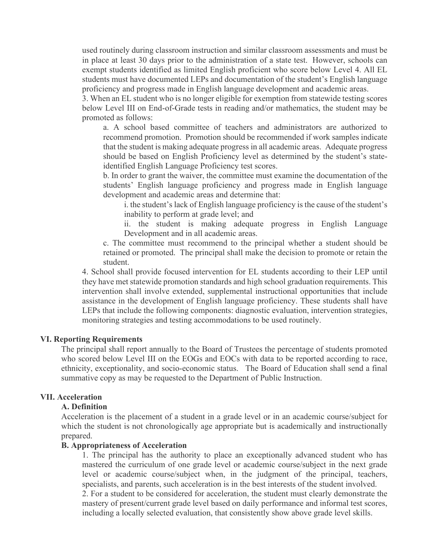used routinely during classroom instruction and similar classroom assessments and must be in place at least 30 days prior to the administration of a state test. However, schools can exempt students identified as limited English proficient who score below Level 4. All EL students must have documented LEPs and documentation of the student's English language proficiency and progress made in English language development and academic areas.

3. When an EL student who is no longer eligible for exemption from statewide testing scores below Level III on End-of-Grade tests in reading and/or mathematics, the student may be promoted as follows:

a. A school based committee of teachers and administrators are authorized to recommend promotion. Promotion should be recommended if work samples indicate that the student is making adequate progress in all academic areas. Adequate progress should be based on English Proficiency level as determined by the student's stateidentified English Language Proficiency test scores.

b. In order to grant the waiver, the committee must examine the documentation of the students' English language proficiency and progress made in English language development and academic areas and determine that:

i. the student's lack of English language proficiency is the cause of the student's inability to perform at grade level; and

ii. the student is making adequate progress in English Language Development and in all academic areas.

c. The committee must recommend to the principal whether a student should be retained or promoted. The principal shall make the decision to promote or retain the student.

4. School shall provide focused intervention for EL students according to their LEP until they have met statewide promotion standards and high school graduation requirements. This intervention shall involve extended, supplemental instructional opportunities that include assistance in the development of English language proficiency. These students shall have LEPs that include the following components: diagnostic evaluation, intervention strategies, monitoring strategies and testing accommodations to be used routinely.

#### **VI. Reporting Requirements**

The principal shall report annually to the Board of Trustees the percentage of students promoted who scored below Level III on the EOGs and EOCs with data to be reported according to race, ethnicity, exceptionality, and socio-economic status. The Board of Education shall send a final summative copy as may be requested to the Department of Public Instruction.

#### **VII. Acceleration**

#### **A. Definition**

Acceleration is the placement of a student in a grade level or in an academic course/subject for which the student is not chronologically age appropriate but is academically and instructionally prepared.

#### **B. Appropriateness of Acceleration**

1. The principal has the authority to place an exceptionally advanced student who has mastered the curriculum of one grade level or academic course/subject in the next grade level or academic course/subject when, in the judgment of the principal, teachers, specialists, and parents, such acceleration is in the best interests of the student involved. 2. For a student to be considered for acceleration, the student must clearly demonstrate the

mastery of present/current grade level based on daily performance and informal test scores, including a locally selected evaluation, that consistently show above grade level skills.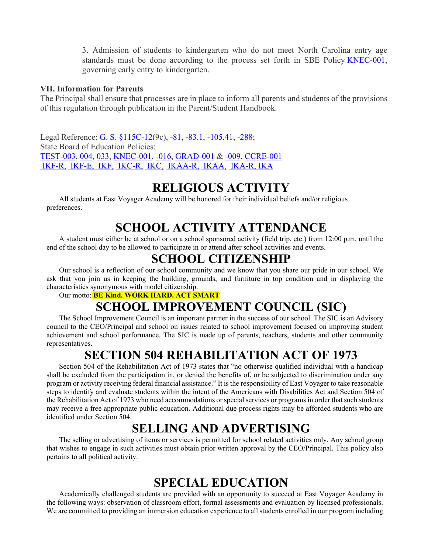3. Admission of students to kindergarten who do not meet North Carolina entry age standards must be done according to the process set forth in SBE Policy [KNEC-001,](http://redirector.microscribepub.com/?cat=pol&loc=nc&id=knec-001&) governing early entry to kindergarten.

#### **VII. Information for Parents**

The Principal shall ensure that processes are in place to inform all parents and students of the provisions of this regulation through publication in the Parent/Student Handbook.

Legal Reference: [G. S. §115C-12\(](http://redirector.microscribepub.com/?cat=stat&loc=nc&id=115c&spec=12)9c), [-81,](http://redirector.microscribepub.com/?cat=stat&loc=nc&id=115c&spec=81) [-83.1,](http://redirector.microscribepub.com/?cat=stat&loc=nc&id=115c&spec=83.1) [-105.41,](http://redirector.microscribepub.com/?cat=stat&loc=nc&id=115c&spec=105.41) [-288;](http://redirector.microscribepub.com/?cat=stat&loc=nc&id=115c&spec=288) State Board of Education Policies: [TEST-003,](http://redirector.microscribepub.com/?cat=pol&loc=nc&id=test-003&) [004,](http://redirector.microscribepub.com/?cat=pol&loc=nc&id=test-004&) [033,](http://redirector.microscribepub.com/?cat=pol&loc=nc&id=test-033&) [KNEC-001,](http://redirector.microscribepub.com/?cat=pol&loc=nc&id=knec-001&) [-016,](http://redirector.microscribepub.com/?cat=pol&loc=nc&id=knec-016&) [GRAD-001](http://redirector.microscribepub.com/?cat=pol&loc=nc&id=grad-001&) & [-009,](http://redirector.microscribepub.com/?cat=pol&loc=nc&id=grad-009&) [CCRE-001](http://redirector.microscribepub.com/?cat=pol&loc=nc&id=ccre-001&) [IKF-R](about:blank)[,](http://go.boarddocs.com/nc/cmsnc/Board.nsf/goto?open&id=AYTN595ADB6B) [IKF-E,](http://go.boarddocs.com/nc/cmsnc/Board.nsf/goto?open&id=AYTMV458A408) [IKF,](http://go.boarddocs.com/nc/cmsnc/Board.nsf/goto?open&id=AYTMUJ583025) [IKC-R,](http://go.boarddocs.com/nc/cmsnc/Board.nsf/goto?open&id=AZPMME5B2541) [IKC,](http://go.boarddocs.com/nc/cmsnc/Board.nsf/goto?open&id=AZPMMA5B1033) [IKAA-R,](http://go.boarddocs.com/nc/cmsnc/Board.nsf/goto?open&id=AZPMKW5A78BA) [IKAA,](http://go.boarddocs.com/nc/cmsnc/Board.nsf/goto?open&id=AZPMKT5A62AD) [IKA-R,](http://go.boarddocs.com/nc/cmsnc/Board.nsf/goto?open&id=AZPMJE59C4A7) [IKA](http://go.boarddocs.com/nc/cmsnc/Board.nsf/goto?open&id=AZPMJ859A2DF)

# **RELIGIOUS ACTIVITY**

All students at East Voyager Academy will be honored for their individual beliefs and/or religious preferences.

# **SCHOOL ACTIVITY ATTENDANCE**

A student must either be at school or on a school sponsored activity (field trip, etc.) from 12:00 p.m. until the end of the school day to be allowed to participate in or attend after school activities and events.

### **SCHOOL CITIZENSHIP**

Our school is a reflection of our school community and we know that you share our pride in our school. We ask that you join us in keeping the building, grounds, and furniture in top condition and in displaying the characteristics synonymous with model citizenship.

Our motto: **BE Kind. WORK HARD. ACT SMART**

# **SCHOOL IMPROVEMENT COUNCIL (SIC)**

The School Improvement Council is an important partner in the success of our school. The SIC is an Advisory council to the CEO/Principal and school on issues related to school improvement focused on improving student achievement and school performance. The SIC is made up of parents, teachers, students and other community representatives.

# **SECTION 504 REHABILITATION ACT OF 1973**

Section 504 of the Rehabilitation Act of 1973 states that "no otherwise qualified individual with a handicap shall be excluded from the participation in, or denied the benefits of, or be subjected to discrimination under any program or activity receiving federal financial assistance." It is the responsibility of East Voyager to take reasonable steps to identify and evaluate students within the intent of the Americans with Disabilities Act and Section 504 of the Rehabilitation Act of 1973 who need accommodations or special services or programs in order that such students may receive a free appropriate public education. Additional due process rights may be afforded students who are identified under Section 504.

# **SELLING AND ADVERTISING**

The selling or advertising of items or services is permitted for school related activities only. Any school group that wishes to engage in such activities must obtain prior written approval by the CEO/Principal. This policy also pertains to all political activity.

# **SPECIAL EDUCATION**

Academically challenged students are provided with an opportunity to succeed at East Voyager Academy in the following ways: observation of classroom effort, formal assessments and evaluation by licensed professionals. We are committed to providing an immersion education experience to all students enrolled in our program including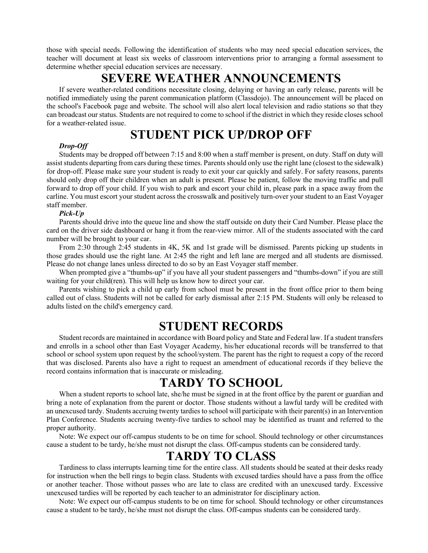those with special needs. Following the identification of students who may need special education services, the teacher will document at least six weeks of classroom interventions prior to arranging a formal assessment to determine whether special education services are necessary.

# **SEVERE WEATHER ANNOUNCEMENTS**

If severe weather-related conditions necessitate closing, delaying or having an early release, parents will be notified immediately using the parent communication platform (Classdojo). The announcement will be placed on the school's Facebook page and website. The school will also alert local television and radio stations so that they can broadcast our status. Students are not required to come to school if the district in which they reside closes school for a weather-related issue.

# **STUDENT PICK UP/DROP OFF**

#### *Drop-Off*

Students may be dropped off between 7:15 and 8:00 when a staff member is present, on duty. Staff on duty will assist students departing from cars during these times. Parents should only use the right lane (closest to the sidewalk) for drop-off. Please make sure your student is ready to exit your car quickly and safely. For safety reasons, parents should only drop off their children when an adult is present. Please be patient, follow the moving traffic and pull forward to drop off your child. If you wish to park and escort your child in, please park in a space away from the carline. You must escort your student across the crosswalk and positively turn-over your student to an East Voyager staff member.

#### *Pick-Up*

Parents should drive into the queue line and show the staff outside on duty their Card Number. Please place the card on the driver side dashboard or hang it from the rear-view mirror. All of the students associated with the card number will be brought to your car.

From 2:30 through 2:45 students in 4K, 5K and 1st grade will be dismissed. Parents picking up students in those grades should use the right lane. At 2:45 the right and left lane are merged and all students are dismissed. Please do not change lanes unless directed to do so by an East Voyager staff member.

When prompted give a "thumbs-up" if you have all your student passengers and "thumbs-down" if you are still waiting for your child(ren). This will help us know how to direct your car.

Parents wishing to pick a child up early from school must be present in the front office prior to them being called out of class. Students will not be called for early dismissal after 2:15 PM. Students will only be released to adults listed on the child's emergency card.

### **STUDENT RECORDS**

Student records are maintained in accordance with Board policy and State and Federal law. If a student transfers and enrolls in a school other than East Voyager Academy, his/her educational records will be transferred to that school or school system upon request by the school/system. The parent has the right to request a copy of the record that was disclosed. Parents also have a right to request an amendment of educational records if they believe the record contains information that is inaccurate or misleading.

## **TARDY TO SCHOOL**

When a student reports to school late, she/he must be signed in at the front office by the parent or guardian and bring a note of explanation from the parent or doctor. Those students without a lawful tardy will be credited with an unexcused tardy. Students accruing twenty tardies to school will participate with their parent(s) in an Intervention Plan Conference. Students accruing twenty-five tardies to school may be identified as truant and referred to the proper authority.

Note: We expect our off-campus students to be on time for school. Should technology or other circumstances cause a student to be tardy, he/she must not disrupt the class. Off-campus students can be considered tardy.

### **TARDY TO CLASS**

Tardiness to class interrupts learning time for the entire class. All students should be seated at their desks ready for instruction when the bell rings to begin class. Students with excused tardies should have a pass from the office or another teacher. Those without passes who are late to class are credited with an unexcused tardy. Excessive unexcused tardies will be reported by each teacher to an administrator for disciplinary action.

Note: We expect our off-campus students to be on time for school. Should technology or other circumstances cause a student to be tardy, he/she must not disrupt the class. Off-campus students can be considered tardy.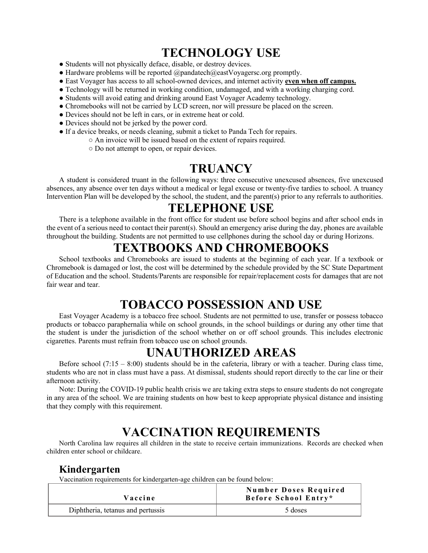# **TECHNOLOGY USE**

- Students will not physically deface, disable, or destroy devices.
- Hardware problems will be reported @pandatech@eastVoyagersc.org promptly.
- East Voyager has access to all school-owned devices, and internet activity **even when off campus.**
- Technology will be returned in working condition, undamaged, and with a working charging cord.
- Students will avoid eating and drinking around East Voyager Academy technology.
- Chromebooks will not be carried by LCD screen, nor will pressure be placed on the screen.
- Devices should not be left in cars, or in extreme heat or cold.
- Devices should not be jerked by the power cord.
- If a device breaks, or needs cleaning, submit a ticket to Panda Tech for repairs.
	- An invoice will be issued based on the extent of repairs required.
	- Do not attempt to open, or repair devices.

# **TRUANCY**

A student is considered truant in the following ways: three consecutive unexcused absences, five unexcused absences, any absence over ten days without a medical or legal excuse or twenty-five tardies to school. A truancy Intervention Plan will be developed by the school, the student, and the parent(s) prior to any referrals to authorities.

## **TELEPHONE USE**

There is a telephone available in the front office for student use before school begins and after school ends in the event of a serious need to contact their parent(s). Should an emergency arise during the day, phones are available throughout the building. Students are not permitted to use cellphones during the school day or during Horizons.

# **TEXTBOOKS AND CHROMEBOOKS**

School textbooks and Chromebooks are issued to students at the beginning of each year. If a textbook or Chromebook is damaged or lost, the cost will be determined by the schedule provided by the SC State Department of Education and the school. Students/Parents are responsible for repair/replacement costs for damages that are not fair wear and tear.

# **TOBACCO POSSESSION AND USE**

East Voyager Academy is a tobacco free school. Students are not permitted to use, transfer or possess tobacco products or tobacco paraphernalia while on school grounds, in the school buildings or during any other time that the student is under the jurisdiction of the school whether on or off school grounds. This includes electronic cigarettes. Parents must refrain from tobacco use on school grounds.

## **UNAUTHORIZED AREAS**

Before school (7:15 – 8:00) students should be in the cafeteria, library or with a teacher. During class time, students who are not in class must have a pass. At dismissal, students should report directly to the car line or their afternoon activity.

Note: During the COVID-19 public health crisis we are taking extra steps to ensure students do not congregate in any area of the school. We are training students on how best to keep appropriate physical distance and insisting that they comply with this requirement.

# **VACCINATION REQUIREMENTS**

North Carolina law requires all children in the state to receive certain immunizations. Records are checked when children enter school or childcare.

### **Kindergarten**

Vaccination requirements for kindergarten-age children can be found below:

| Vaccine                           | Number Doses Required<br>Before School Entry* |
|-----------------------------------|-----------------------------------------------|
| Diphtheria, tetanus and pertussis | 5 doses                                       |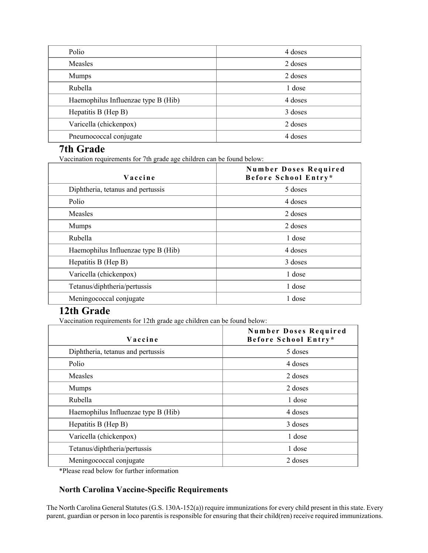| Polio                               | 4 doses |
|-------------------------------------|---------|
| Measles                             | 2 doses |
| <b>Mumps</b>                        | 2 doses |
| Rubella                             | 1 dose  |
| Haemophilus Influenzae type B (Hib) | 4 doses |
| Hepatitis B (Hep B)                 | 3 doses |
| Varicella (chickenpox)              | 2 doses |
| Pneumococcal conjugate              | 4 doses |

#### **7th Grade**

Vaccination requirements for 7th grade age children can be found below:

| Vaccine                             | Number Doses Required<br>Before School Entry* |
|-------------------------------------|-----------------------------------------------|
| Diphtheria, tetanus and pertussis   | 5 doses                                       |
| Polio                               | 4 doses                                       |
| Measles                             | 2 doses                                       |
| <b>Mumps</b>                        | 2 doses                                       |
| Rubella                             | 1 dose                                        |
| Haemophilus Influenzae type B (Hib) | 4 doses                                       |
| Hepatitis B (Hep B)                 | 3 doses                                       |
| Varicella (chickenpox)              | 1 dose                                        |
| Tetanus/diphtheria/pertussis        | 1 dose                                        |
| Meningococcal conjugate             | 1 dose                                        |

### **12th Grade**

Vaccination requirements for 12th grade age children can be found below:

| Vaccine                             | <b>Number Doses Required</b><br>Before School Entry* |
|-------------------------------------|------------------------------------------------------|
| Diphtheria, tetanus and pertussis   | 5 doses                                              |
| Polio                               | 4 doses                                              |
| Measles                             | 2 doses                                              |
| <b>Mumps</b>                        | 2 doses                                              |
| Rubella                             | 1 dose                                               |
| Haemophilus Influenzae type B (Hib) | 4 doses                                              |
| Hepatitis B (Hep B)                 | 3 doses                                              |
| Varicella (chickenpox)              | 1 dose                                               |
| Tetanus/diphtheria/pertussis        | 1 dose                                               |
| Meningococcal conjugate             | 2 doses                                              |

\*Please read below for further information

#### **North Carolina Vaccine-Specific Requirements**

The North Carolina General Statutes (G.S. 130A-152(a)) require immunizations for every child present in this state. Every parent, guardian or person in loco parentis is responsible for ensuring that their child(ren) receive required immunizations.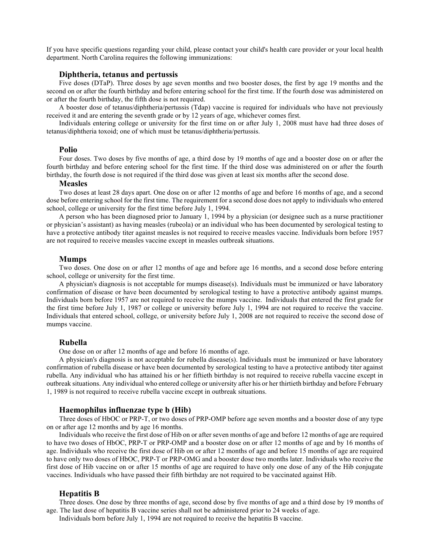If you have specific questions regarding your child, please contact your child's health care provider or your local health department. North Carolina requires the following immunizations:

#### **Diphtheria, tetanus and pertussis**

Five doses (DTaP). Three doses by age seven months and two booster doses, the first by age 19 months and the second on or after the fourth birthday and before entering school for the first time. If the fourth dose was administered on or after the fourth birthday, the fifth dose is not required.

A booster dose of tetanus/diphtheria/pertussis (Tdap) vaccine is required for individuals who have not previously received it and are entering the seventh grade or by 12 years of age, whichever comes first.

Individuals entering college or university for the first time on or after July 1, 2008 must have had three doses of tetanus/diphtheria toxoid; one of which must be tetanus/diphtheria/pertussis.

#### **Polio**

Four doses. Two doses by five months of age, a third dose by 19 months of age and a booster dose on or after the fourth birthday and before entering school for the first time. If the third dose was administered on or after the fourth birthday, the fourth dose is not required if the third dose was given at least six months after the second dose.

#### **Measles**

Two doses at least 28 days apart. One dose on or after 12 months of age and before 16 months of age, and a second dose before entering school for the first time. The requirement for a second dose does not apply to individuals who entered school, college or university for the first time before July 1, 1994.

A person who has been diagnosed prior to January 1, 1994 by a physician (or designee such as a nurse practitioner or physician's assistant) as having measles (rubeola) or an individual who has been documented by serological testing to have a protective antibody titer against measles is not required to receive measles vaccine. Individuals born before 1957 are not required to receive measles vaccine except in measles outbreak situations.

#### **Mumps**

Two doses. One dose on or after 12 months of age and before age 16 months, and a second dose before entering school, college or university for the first time.

A physician's diagnosis is not acceptable for mumps disease(s). Individuals must be immunized or have laboratory confirmation of disease or have been documented by serological testing to have a protective antibody against mumps. Individuals born before 1957 are not required to receive the mumps vaccine. Individuals that entered the first grade for the first time before July 1, 1987 or college or university before July 1, 1994 are not required to receive the vaccine. Individuals that entered school, college, or university before July 1, 2008 are not required to receive the second dose of mumps vaccine.

#### **Rubella**

One dose on or after 12 months of age and before 16 months of age.

A physician's diagnosis is not acceptable for rubella disease(s). Individuals must be immunized or have laboratory confirmation of rubella disease or have been documented by serological testing to have a protective antibody titer against rubella. Any individual who has attained his or her fiftieth birthday is not required to receive rubella vaccine except in outbreak situations. Any individual who entered college or university after his or her thirtieth birthday and before February 1, 1989 is not required to receive rubella vaccine except in outbreak situations.

#### **Haemophilus influenzae type b (Hib)**

Three doses of HbOC or PRP-T, or two doses of PRP-OMP before age seven months and a booster dose of any type on or after age 12 months and by age 16 months.

Individuals who receive the first dose of Hib on or after seven months of age and before 12 months of age are required to have two doses of HbOC, PRP-T or PRP-OMP and a booster dose on or after 12 months of age and by 16 months of age. Individuals who receive the first dose of Hib on or after 12 months of age and before 15 months of age are required to have only two doses of HbOC, PRP-T or PRP-OMG and a booster dose two months later. Individuals who receive the first dose of Hib vaccine on or after 15 months of age are required to have only one dose of any of the Hib conjugate vaccines. Individuals who have passed their fifth birthday are not required to be vaccinated against Hib.

#### **Hepatitis B**

Three doses. One dose by three months of age, second dose by five months of age and a third dose by 19 months of age. The last dose of hepatitis B vaccine series shall not be administered prior to 24 weeks of age.

Individuals born before July 1, 1994 are not required to receive the hepatitis B vaccine.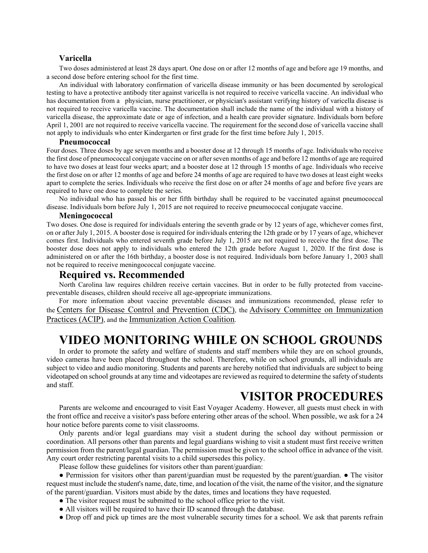#### **Varicella**

Two doses administered at least 28 days apart. One dose on or after 12 months of age and before age 19 months, and a second dose before entering school for the first time.

An individual with laboratory confirmation of varicella disease immunity or has been documented by serological testing to have a protective antibody titer against varicella is not required to receive varicella vaccine. An individual who has documentation from a physician, nurse practitioner, or physician's assistant verifying history of varicella disease is not required to receive varicella vaccine. The documentation shall include the name of the individual with a history of varicella disease, the approximate date or age of infection, and a health care provider signature. Individuals born before April 1, 2001 are not required to receive varicella vaccine. The requirement for the second dose of varicella vaccine shall not apply to individuals who enter Kindergarten or first grade for the first time before July 1, 2015.

#### **Pneumococcal**

Four doses. Three doses by age seven months and a booster dose at 12 through 15 months of age. Individuals who receive the first dose of pneumococcal conjugate vaccine on or after seven months of age and before 12 months of age are required to have two doses at least four weeks apart; and a booster dose at 12 through 15 months of age. Individuals who receive the first dose on or after 12 months of age and before 24 months of age are required to have two doses at least eight weeks apart to complete the series. Individuals who receive the first dose on or after 24 months of age and before five years are required to have one dose to complete the series.

No individual who has passed his or her fifth birthday shall be required to be vaccinated against pneumococcal disease. Individuals born before July 1, 2015 are not required to receive pneumococcal conjugate vaccine.

#### **Meningococcal**

Two doses. One dose is required for individuals entering the seventh grade or by 12 years of age, whichever comes first, on or after July 1, 2015. A booster dose is required for individuals entering the 12th grade or by 17 years of age, whichever comes first. Individuals who entered seventh grade before July 1, 2015 are not required to receive the first dose. The booster dose does not apply to individuals who entered the 12th grade before August 1, 2020. If the first dose is administered on or after the 16th birthday, a booster dose is not required. Individuals born before January 1, 2003 shall not be required to receive meningococcal conjugate vaccine.

#### **Required vs. Recommended**

North Carolina law requires children receive certain vaccines. But in order to be fully protected from vaccinepreventable diseases, children should receive all age-appropriate immunizations.

For more information about vaccine preventable diseases and immunizations recommended, please refer to the [Centers for Disease Control and Prevention \(CDC\),](https://www.cdc.gov/vaccines/vpd/vaccines-diseases.html) the [Advisory Committee on Immunization](https://www.cdc.gov/vaccines/acip/)  [Practices \(ACIP\),](https://www.cdc.gov/vaccines/acip/) and the [Immunization Action Coalition.](http://www.immunize.org/vaccines/)

## **VIDEO MONITORING WHILE ON SCHOOL GROUNDS**

In order to promote the safety and welfare of students and staff members while they are on school grounds, video cameras have been placed throughout the school. Therefore, while on school grounds, all individuals are subject to video and audio monitoring. Students and parents are hereby notified that individuals are subject to being videotaped on school grounds at any time and videotapes are reviewed as required to determine the safety of students and staff.

### **VISITOR PROCEDURES**

Parents are welcome and encouraged to visit East Voyager Academy. However, all guests must check in with the front office and receive a visitor's pass before entering other areas of the school. When possible, we ask for a 24 hour notice before parents come to visit classrooms.

Only parents and/or legal guardians may visit a student during the school day without permission or coordination. All persons other than parents and legal guardians wishing to visit a student must first receive written permission from the parent/legal guardian. The permission must be given to the school office in advance of the visit. Any court order restricting parental visits to a child supersedes this policy.

Please follow these guidelines for visitors other than parent/guardian:

● Permission for visitors other than parent/guardian must be requested by the parent/guardian. ● The visitor request must include the student's name, date, time, and location of the visit, the name of the visitor, and the signature of the parent/guardian. Visitors must abide by the dates, times and locations they have requested.

- The visitor request must be submitted to the school office prior to the visit.
- All visitors will be required to have their ID scanned through the database.
- Drop off and pick up times are the most vulnerable security times for a school. We ask that parents refrain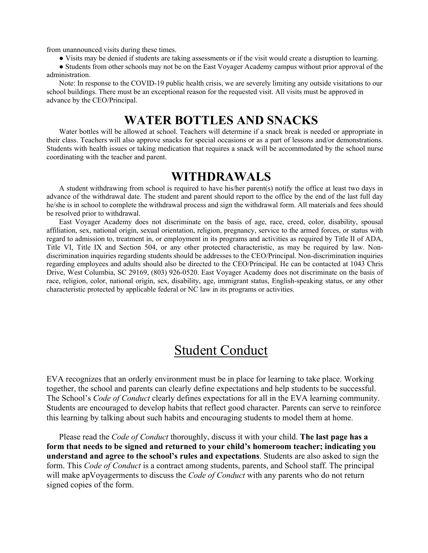from unannounced visits during these times.

● Visits may be denied if students are taking assessments or if the visit would create a disruption to learning.

• Students from other schools may not be on the East Voyager Academy campus without prior approval of the administration.

Note: In response to the COVID-19 public health crisis, we are severely limiting any outside visitations to our school buildings. There must be an exceptional reason for the requested visit. All visits must be approved in advance by the CEO/Principal.

## **WATER BOTTLES AND SNACKS**

Water bottles will be allowed at school. Teachers will determine if a snack break is needed or appropriate in their class. Teachers will also approve snacks for special occasions or as a part of lessons and/or demonstrations. Students with health issues or taking medication that requires a snack will be accommodated by the school nurse coordinating with the teacher and parent.

### **WITHDRAWALS**

A student withdrawing from school is required to have his/her parent(s) notify the office at least two days in advance of the withdrawal date. The student and parent should report to the office by the end of the last full day he/she is in school to complete the withdrawal process and sign the withdrawal form. All materials and fees should be resolved prior to withdrawal.

East Voyager Academy does not discriminate on the basis of age, race, creed, color, disability, spousal affiliation, sex, national origin, sexual orientation, religion, pregnancy, service to the armed forces, or status with regard to admission to, treatment in, or employment in its programs and activities as required by Title II of ADA, Title VI, Title IX and Section 504, or any other protected characteristic, as may be required by law. Nondiscrimination inquiries regarding students should be addresses to the CEO/Principal. Non-discrimination inquiries regarding employees and adults should also be directed to the CEO/Principal. He can be contacted at 1043 Chris Drive, West Columbia, SC 29169, (803) 926-0520. East Voyager Academy does not discriminate on the basis of race, religion, color, national origin, sex, disability, age, immigrant status, English-speaking status, or any other characteristic protected by applicable federal or NC law in its programs or activities.

# Student Conduct

EVA recognizes that an orderly environment must be in place for learning to take place. Working together, the school and parents can clearly define expectations and help students to be successful. The School's *Code of Conduct* clearly defines expectations for all in the EVA learning community. Students are encouraged to develop habits that reflect good character. Parents can serve to reinforce this learning by talking about such habits and encouraging students to model them at home.

Please read the *Code of Conduct* thoroughly, discuss it with your child. **The last page has a form that needs to be signed and returned to your child's homeroom teacher; indicating you understand and agree to the school's rules and expectations**. Students are also asked to sign the form. This *Code of Conduct* is a contract among students, parents, and School staff. The principal will make apVoyagerments to discuss the *Code of Conduct* with any parents who do not return signed copies of the form.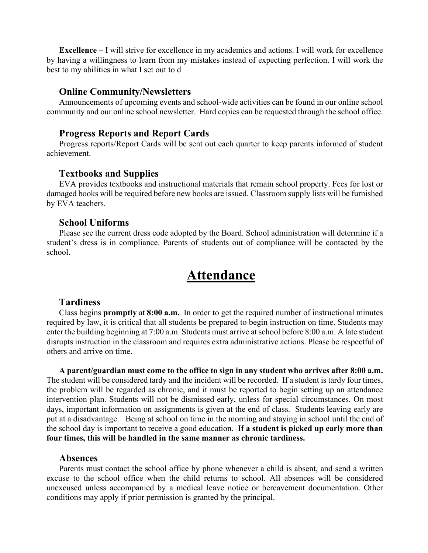**Excellence** – I will strive for excellence in my academics and actions. I will work for excellence by having a willingness to learn from my mistakes instead of expecting perfection. I will work the best to my abilities in what I set out to d

#### **Online Community/Newsletters**

Announcements of upcoming events and school-wide activities can be found in our online school community and our online school newsletter. Hard copies can be requested through the school office.

### **Progress Reports and Report Cards**

Progress reports/Report Cards will be sent out each quarter to keep parents informed of student achievement.

#### **Textbooks and Supplies**

EVA provides textbooks and instructional materials that remain school property. Fees for lost or damaged books will be required before new books are issued. Classroom supply lists will be furnished by EVA teachers.

#### **School Uniforms**

Please see the current dress code adopted by the Board. School administration will determine if a student's dress is in compliance. Parents of students out of compliance will be contacted by the school.

# **Attendance**

### **Tardiness**

Class begins **promptly** at **8:00 a.m.** In order to get the required number of instructional minutes required by law, it is critical that all students be prepared to begin instruction on time. Students may enter the building beginning at 7:00 a.m. Students must arrive at school before 8:00 a.m. A late student disrupts instruction in the classroom and requires extra administrative actions. Please be respectful of others and arrive on time.

**A parent/guardian must come to the office to sign in any student who arrives after 8:00 a.m.** The student will be considered tardy and the incident will be recorded. If a student is tardy four times, the problem will be regarded as chronic, and it must be reported to begin setting up an attendance intervention plan. Students will not be dismissed early, unless for special circumstances. On most days, important information on assignments is given at the end of class. Students leaving early are put at a disadvantage. Being at school on time in the morning and staying in school until the end of the school day is important to receive a good education. **If a student is picked up early more than four times, this will be handled in the same manner as chronic tardiness.**

#### **Absences**

Parents must contact the school office by phone whenever a child is absent, and send a written excuse to the school office when the child returns to school. All absences will be considered unexcused unless accompanied by a medical leave notice or bereavement documentation. Other conditions may apply if prior permission is granted by the principal.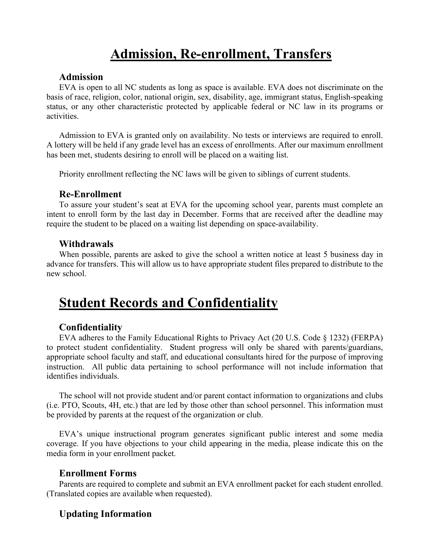# **Admission, Re-enrollment, Transfers**

#### **Admission**

EVA is open to all NC students as long as space is available. EVA does not discriminate on the basis of race, religion, color, national origin, sex, disability, age, immigrant status, English-speaking status, or any other characteristic protected by applicable federal or NC law in its programs or activities.

Admission to EVA is granted only on availability. No tests or interviews are required to enroll. A lottery will be held if any grade level has an excess of enrollments. After our maximum enrollment has been met, students desiring to enroll will be placed on a waiting list.

Priority enrollment reflecting the NC laws will be given to siblings of current students.

#### **Re-Enrollment**

To assure your student's seat at EVA for the upcoming school year, parents must complete an intent to enroll form by the last day in December. Forms that are received after the deadline may require the student to be placed on a waiting list depending on space-availability.

#### **Withdrawals**

When possible, parents are asked to give the school a written notice at least 5 business day in advance for transfers. This will allow us to have appropriate student files prepared to distribute to the new school.

# **Student Records and Confidentiality**

### **Confidentiality**

EVA adheres to the Family Educational Rights to Privacy Act (20 U.S. Code § 1232) (FERPA) to protect student confidentiality. Student progress will only be shared with parents/guardians, appropriate school faculty and staff, and educational consultants hired for the purpose of improving instruction. All public data pertaining to school performance will not include information that identifies individuals.

The school will not provide student and/or parent contact information to organizations and clubs (i.e. PTO, Scouts, 4H, etc.) that are led by those other than school personnel. This information must be provided by parents at the request of the organization or club.

EVA's unique instructional program generates significant public interest and some media coverage. If you have objections to your child appearing in the media, please indicate this on the media form in your enrollment packet.

#### **Enrollment Forms**

Parents are required to complete and submit an EVA enrollment packet for each student enrolled. (Translated copies are available when requested).

### **Updating Information**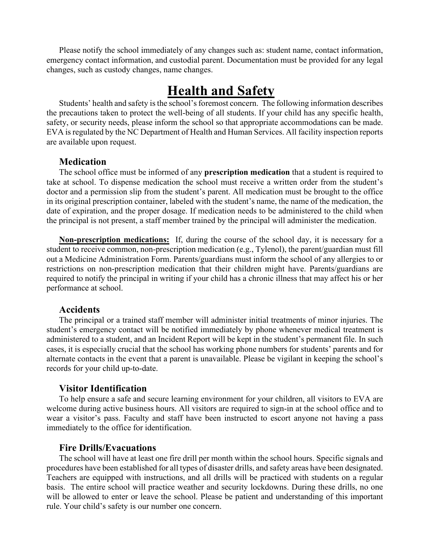Please notify the school immediately of any changes such as: student name, contact information, emergency contact information, and custodial parent. Documentation must be provided for any legal changes, such as custody changes, name changes.

# **Health and Safety**

Students' health and safety is the school's foremost concern. The following information describes the precautions taken to protect the well-being of all students. If your child has any specific health, safety, or security needs, please inform the school so that appropriate accommodations can be made. EVA is regulated by the NC Department of Health and Human Services. All facility inspection reports are available upon request.

### **Medication**

The school office must be informed of any **prescription medication** that a student is required to take at school. To dispense medication the school must receive a written order from the student's doctor and a permission slip from the student's parent. All medication must be brought to the office in its original prescription container, labeled with the student's name, the name of the medication, the date of expiration, and the proper dosage. If medication needs to be administered to the child when the principal is not present, a staff member trained by the principal will administer the medication.

**Non-prescription medications:** If, during the course of the school day, it is necessary for a student to receive common, non-prescription medication (e.g., Tylenol), the parent/guardian must fill out a Medicine Administration Form. Parents/guardians must inform the school of any allergies to or restrictions on non-prescription medication that their children might have. Parents/guardians are required to notify the principal in writing if your child has a chronic illness that may affect his or her performance at school.

### **Accidents**

The principal or a trained staff member will administer initial treatments of minor injuries. The student's emergency contact will be notified immediately by phone whenever medical treatment is administered to a student, and an Incident Report will be kept in the student's permanent file. In such cases, it is especially crucial that the school has working phone numbers for students' parents and for alternate contacts in the event that a parent is unavailable. Please be vigilant in keeping the school's records for your child up-to-date.

### **Visitor Identification**

To help ensure a safe and secure learning environment for your children, all visitors to EVA are welcome during active business hours. All visitors are required to sign-in at the school office and to wear a visitor's pass. Faculty and staff have been instructed to escort anyone not having a pass immediately to the office for identification.

### **Fire Drills/Evacuations**

The school will have at least one fire drill per month within the school hours. Specific signals and procedures have been established for all types of disaster drills, and safety areas have been designated. Teachers are equipped with instructions, and all drills will be practiced with students on a regular basis. The entire school will practice weather and security lockdowns. During these drills, no one will be allowed to enter or leave the school. Please be patient and understanding of this important rule. Your child's safety is our number one concern.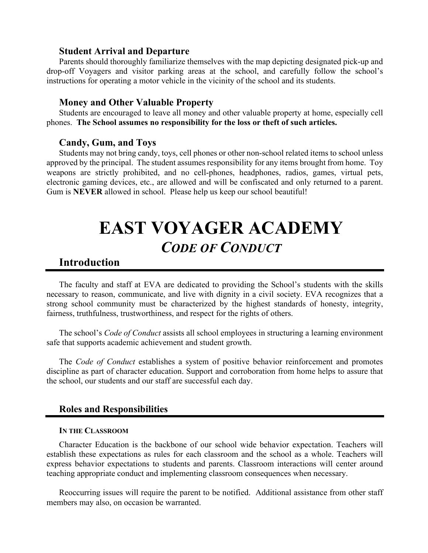#### **Student Arrival and Departure**

Parents should thoroughly familiarize themselves with the map depicting designated pick-up and drop-off Voyagers and visitor parking areas at the school, and carefully follow the school's instructions for operating a motor vehicle in the vicinity of the school and its students.

#### **Money and Other Valuable Property**

Students are encouraged to leave all money and other valuable property at home, especially cell phones. **The School assumes no responsibility for the loss or theft of such articles.**

#### **Candy, Gum, and Toys**

Students may not bring candy, toys, cell phones or other non-school related items to school unless approved by the principal. The student assumes responsibility for any items brought from home. Toy weapons are strictly prohibited, and no cell-phones, headphones, radios, games, virtual pets, electronic gaming devices, etc., are allowed and will be confiscated and only returned to a parent. Gum is **NEVER** allowed in school. Please help us keep our school beautiful!

# **EAST VOYAGER ACADEMY** *CODE OF CONDUCT*

### **Introduction**

The faculty and staff at EVA are dedicated to providing the School's students with the skills necessary to reason, communicate, and live with dignity in a civil society. EVA recognizes that a strong school community must be characterized by the highest standards of honesty, integrity, fairness, truthfulness, trustworthiness, and respect for the rights of others.

The school's *Code of Conduct* assists all school employees in structuring a learning environment safe that supports academic achievement and student growth.

The *Code of Conduct* establishes a system of positive behavior reinforcement and promotes discipline as part of character education. Support and corroboration from home helps to assure that the school, our students and our staff are successful each day.

#### **Roles and Responsibilities**

#### **IN THE CLASSROOM**

Character Education is the backbone of our school wide behavior expectation. Teachers will establish these expectations as rules for each classroom and the school as a whole. Teachers will express behavior expectations to students and parents. Classroom interactions will center around teaching appropriate conduct and implementing classroom consequences when necessary.

Reoccurring issues will require the parent to be notified. Additional assistance from other staff members may also, on occasion be warranted.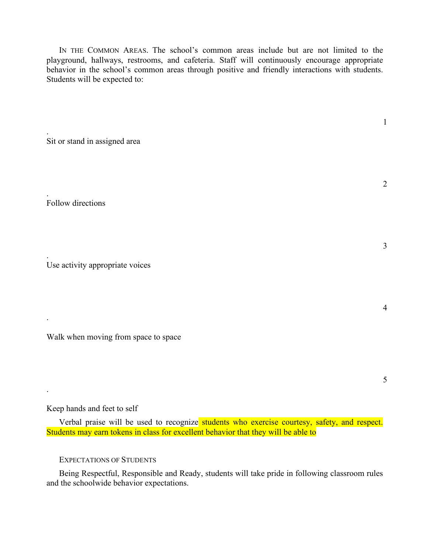IN THE COMMON AREAS. The school's common areas include but are not limited to the playground, hallways, restrooms, and cafeteria. Staff will continuously encourage appropriate behavior in the school's common areas through positive and friendly interactions with students. Students will be expected to:

Sit or stand in assigned area

. Follow directions

.

.

.

.

Use activity appropriate voices

Walk when moving from space to space

5

Keep hands and feet to self

Verbal praise will be used to recognize students who exercise courtesy, safety, and respect. Students may earn tokens in class for excellent behavior that they will be able to

EXPECTATIONS OF STUDENTS

Being Respectful, Responsible and Ready, students will take pride in following classroom rules and the schoolwide behavior expectations.

1

2

3

4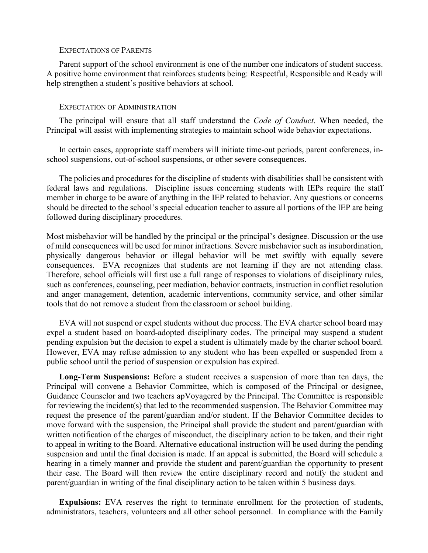#### EXPECTATIONS OF PARENTS

Parent support of the school environment is one of the number one indicators of student success. A positive home environment that reinforces students being: Respectful, Responsible and Ready will help strengthen a student's positive behaviors at school.

#### EXPECTATION OF ADMINISTRATION

The principal will ensure that all staff understand the *Code of Conduct*. When needed, the Principal will assist with implementing strategies to maintain school wide behavior expectations.

In certain cases, appropriate staff members will initiate time-out periods, parent conferences, inschool suspensions, out-of-school suspensions, or other severe consequences.

The policies and procedures for the discipline of students with disabilities shall be consistent with federal laws and regulations. Discipline issues concerning students with IEPs require the staff member in charge to be aware of anything in the IEP related to behavior. Any questions or concerns should be directed to the school's special education teacher to assure all portions of the IEP are being followed during disciplinary procedures.

Most misbehavior will be handled by the principal or the principal's designee. Discussion or the use of mild consequences will be used for minor infractions. Severe misbehavior such as insubordination, physically dangerous behavior or illegal behavior will be met swiftly with equally severe consequences. EVA recognizes that students are not learning if they are not attending class. Therefore, school officials will first use a full range of responses to violations of disciplinary rules, such as conferences, counseling, peer mediation, behavior contracts, instruction in conflict resolution and anger management, detention, academic interventions, community service, and other similar tools that do not remove a student from the classroom or school building.

EVA will not suspend or expel students without due process. The EVA charter school board may expel a student based on board-adopted disciplinary codes. The principal may suspend a student pending expulsion but the decision to expel a student is ultimately made by the charter school board. However, EVA may refuse admission to any student who has been expelled or suspended from a public school until the period of suspension or expulsion has expired.

**Long-Term Suspensions:** Before a student receives a suspension of more than ten days, the Principal will convene a Behavior Committee, which is composed of the Principal or designee, Guidance Counselor and two teachers apVoyagered by the Principal. The Committee is responsible for reviewing the incident(s) that led to the recommended suspension. The Behavior Committee may request the presence of the parent/guardian and/or student. If the Behavior Committee decides to move forward with the suspension, the Principal shall provide the student and parent/guardian with written notification of the charges of misconduct, the disciplinary action to be taken, and their right to appeal in writing to the Board. Alternative educational instruction will be used during the pending suspension and until the final decision is made. If an appeal is submitted, the Board will schedule a hearing in a timely manner and provide the student and parent/guardian the opportunity to present their case. The Board will then review the entire disciplinary record and notify the student and parent/guardian in writing of the final disciplinary action to be taken within 5 business days.

**Expulsions:** EVA reserves the right to terminate enrollment for the protection of students, administrators, teachers, volunteers and all other school personnel. In compliance with the Family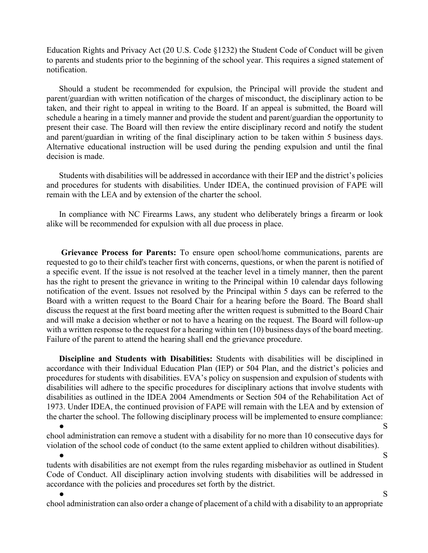Education Rights and Privacy Act (20 U.S. Code §1232) the Student Code of Conduct will be given to parents and students prior to the beginning of the school year. This requires a signed statement of notification.

Should a student be recommended for expulsion, the Principal will provide the student and parent/guardian with written notification of the charges of misconduct, the disciplinary action to be taken, and their right to appeal in writing to the Board. If an appeal is submitted, the Board will schedule a hearing in a timely manner and provide the student and parent/guardian the opportunity to present their case. The Board will then review the entire disciplinary record and notify the student and parent/guardian in writing of the final disciplinary action to be taken within 5 business days. Alternative educational instruction will be used during the pending expulsion and until the final decision is made.

Students with disabilities will be addressed in accordance with their IEP and the district's policies and procedures for students with disabilities. Under IDEA, the continued provision of FAPE will remain with the LEA and by extension of the charter the school.

In compliance with NC Firearms Laws, any student who deliberately brings a firearm or look alike will be recommended for expulsion with all due process in place.

**Grievance Process for Parents:** To ensure open school/home communications, parents are requested to go to their child's teacher first with concerns, questions, or when the parent is notified of a specific event. If the issue is not resolved at the teacher level in a timely manner, then the parent has the right to present the grievance in writing to the Principal within 10 calendar days following notification of the event. Issues not resolved by the Principal within 5 days can be referred to the Board with a written request to the Board Chair for a hearing before the Board. The Board shall discuss the request at the first board meeting after the written request is submitted to the Board Chair and will make a decision whether or not to have a hearing on the request. The Board will follow-up with a written response to the request for a hearing within ten (10) business days of the board meeting. Failure of the parent to attend the hearing shall end the grievance procedure.

**Discipline and Students with Disabilities:** Students with disabilities will be disciplined in accordance with their Individual Education Plan (IEP) or 504 Plan, and the district's policies and procedures for students with disabilities. EVA's policy on suspension and expulsion of students with disabilities will adhere to the specific procedures for disciplinary actions that involve students with disabilities as outlined in the IDEA 2004 Amendments or Section 504 of the Rehabilitation Act of 1973. Under IDEA, the continued provision of FAPE will remain with the LEA and by extension of the charter the school. The following disciplinary process will be implemented to ensure compliance:  $\bullet$  S

chool administration can remove a student with a disability for no more than 10 consecutive days for violation of the school code of conduct (to the same extent applied to children without disabilities).

 $\bullet$  S tudents with disabilities are not exempt from the rules regarding misbehavior as outlined in Student Code of Conduct. All disciplinary action involving students with disabilities will be addressed in accordance with the policies and procedures set forth by the district.

 $\bullet$  S chool administration can also order a change of placement of a child with a disability to an appropriate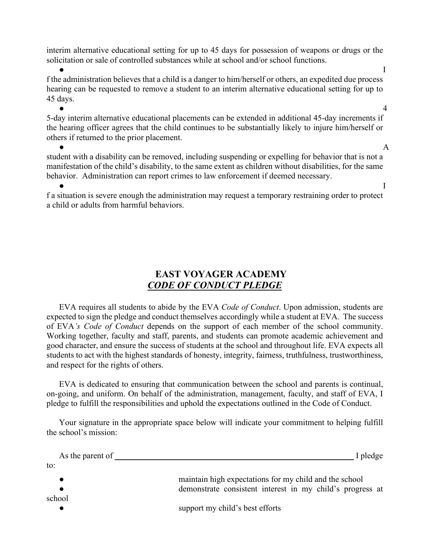interim alternative educational setting for up to 45 days for possession of weapons or drugs or the solicitation or sale of controlled substances while at school and/or school functions.

 $\bullet$  If the set of  $\overline{\phantom{a}}$  If the set of  $\overline{\phantom{a}}$ f the administration believes that a child is a danger to him/herself or others, an expedited due process hearing can be requested to remove a student to an interim alternative educational setting for up to 45 days.

 $\bullet$  4 5-day interim alternative educational placements can be extended in additional 45-day increments if the hearing officer agrees that the child continues to be substantially likely to injure him/herself or others if returned to the prior placement.

 $\bullet$  A student with a disability can be removed, including suspending or expelling for behavior that is not a manifestation of the child's disability, to the same extent as children without disabilities, for the same behavior. Administration can report crimes to law enforcement if deemed necessary.

 $\bullet$  If the set of  $\overline{\phantom{a}}$  If the set of  $\overline{\phantom{a}}$ f a situation is severe enough the administration may request a temporary restraining order to protect a child or adults from harmful behaviors.

### **EAST VOYAGER ACADEMY** *CODE OF CONDUCT PLEDGE*

EVA requires all students to abide by the EVA *Code of Conduct*. Upon admission, students are expected to sign the pledge and conduct themselves accordingly while a student at EVA. The success of EVA*'s Code of Conduct* depends on the support of each member of the school community. Working together, faculty and staff, parents, and students can promote academic achievement and good character, and ensure the success of students at the school and throughout life. EVA expects all students to act with the highest standards of honesty, integrity, fairness, truthfulness, trustworthiness, and respect for the rights of others.

EVA is dedicated to ensuring that communication between the school and parents is continual, on-going, and uniform. On behalf of the administration, management, faculty, and staff of EVA, I pledge to fulfill the responsibilities and uphold the expectations outlined in the Code of Conduct.

Your signature in the appropriate space below will indicate your commitment to helping fulfill the school's mission:

| As the parent of | I pledge                                                  |
|------------------|-----------------------------------------------------------|
| to:              |                                                           |
|                  | maintain high expectations for my child and the school    |
|                  | demonstrate consistent interest in my child's progress at |
| school           |                                                           |
|                  | support my child's best efforts                           |